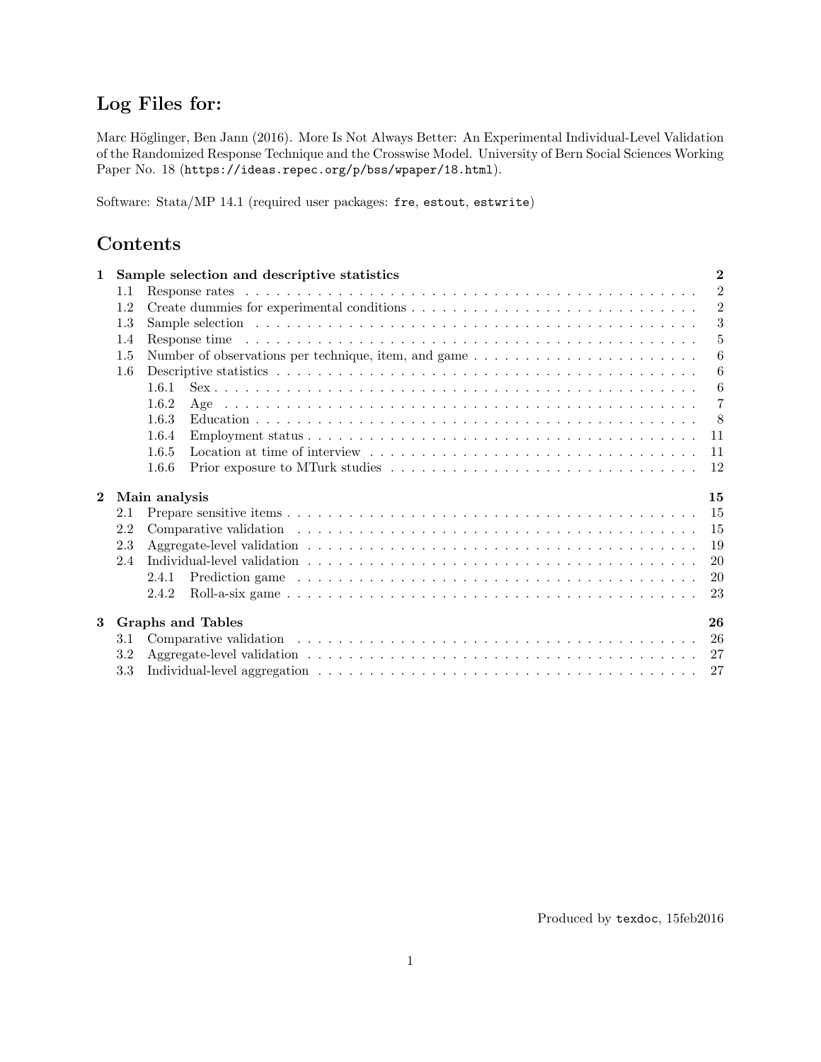# Log Files for:

Marc Höglinger, Ben Jann (2016). More Is Not Always Better: An Experimental Individual-Level Validation of the Randomized Response Technique and the Crosswise Model. University of Bern Social Sciences Working Paper No. 18 (<https://ideas.repec.org/p/bss/wpaper/18.html>).

Software: Stata/MP 14.1 (required user packages: fre, estout, estwrite)

# Contents

| $\mathbf{1}$ |         | Sample selection and descriptive statistics | $\overline{2}$ |
|--------------|---------|---------------------------------------------|----------------|
|              | $1.1\,$ |                                             | $\mathcal{D}$  |
|              | 1.2     |                                             | $\overline{2}$ |
|              | 1.3     |                                             | 3              |
|              | 1.4     |                                             | 5              |
|              | 1.5     |                                             | 6              |
|              | 1.6     |                                             | 6              |
|              |         | 1.6.1                                       | 6              |
|              |         | 1.6.2                                       | $\overline{7}$ |
|              |         | 1.6.3                                       | 8              |
|              |         | 1.6.4                                       | 11             |
|              |         | 1.6.5                                       | 11             |
|              |         | 1.6.6                                       | 12             |
| $\mathbf{2}$ |         | Main analysis                               | 15             |
|              | 2.1     |                                             | 15             |
|              | 2.2     |                                             | 15             |
|              | 2.3     |                                             | 19             |
|              | 2.4     |                                             | 20             |
|              |         | 2.4.1                                       | <b>20</b>      |
|              |         | 2.4.2                                       | 23             |
| 3            |         | <b>Graphs and Tables</b>                    | 26             |
|              | $3.1\,$ |                                             | 26             |
|              | 3.2     |                                             | 27             |
|              | 3.3     |                                             | 27             |

Produced by texdoc, 15feb2016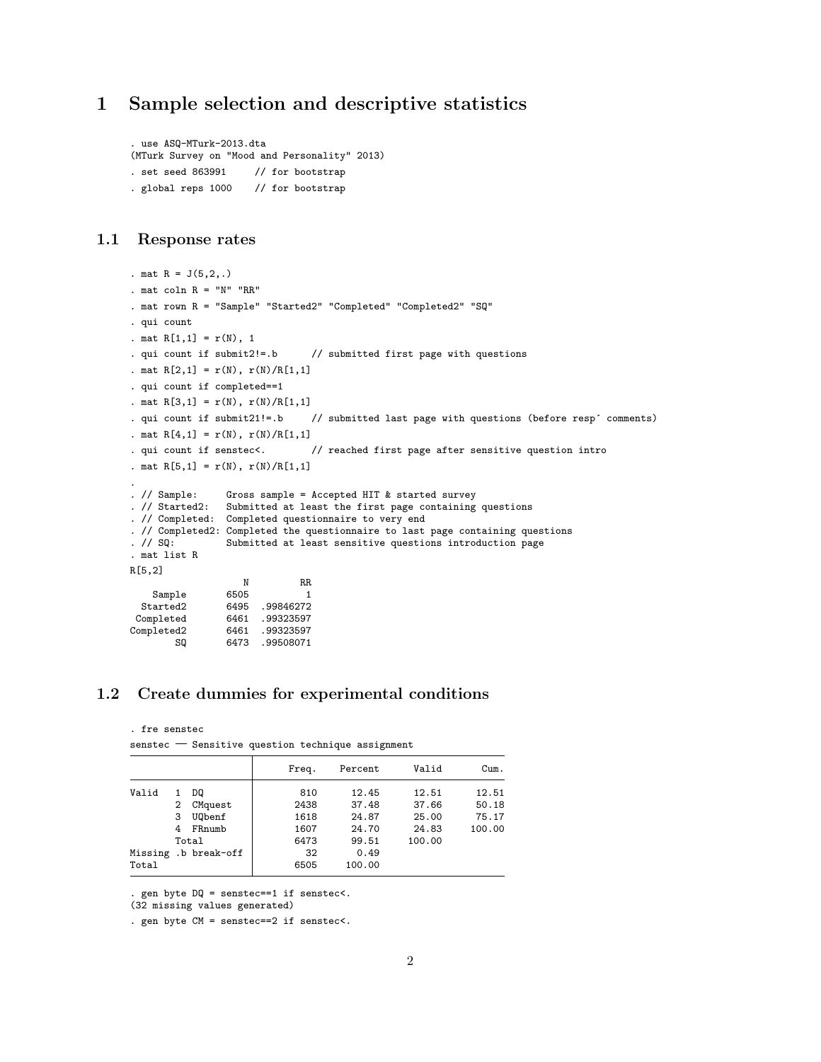# <span id="page-1-0"></span>1 Sample selection and descriptive statistics

```
. use ASQ-MTurk-2013.dta
(MTurk Survey on "Mood and Personality" 2013)
. set seed 863991 // for bootstrap
. global reps 1000 // for bootstrap
```
#### <span id="page-1-1"></span>1.1 Response rates

```
. mat R = J(5, 2, .). mat coln R = "N" "RR". mat rown R = "Sample" "Started2" "Completed" "Completed2" "SQ"
. qui count
. mat R[1,1] = r(N), 1
. qui count if submit2!=.b // submitted first page with questions
. mat R[2,1] = r(N), r(N)/R[1,1]. qui count if completed==1
. mat R[3,1] = r(N), r(N)/R[1,1]. qui count if submit21!=.b // submitted last page with questions (before resp´ comments)
. mat R[4,1] = r(N), r(N)/R[1,1]. qui count if senstec<. \frac{1}{2} reached first page after sensitive question intro
. mat R[5,1] = r(N), r(N)/R[1,1]. // Sample:
                  Gross sample = Accepted HIT k started survey
. // Started2: Submitted at least the first page containing questions
. // Completed: Completed questionnaire to very end
. // Completed2: Completed the questionnaire to last page containing questions . // SQ: Submitted at least sensitive questions introduction page
                  Submitted at least sensitive questions introduction page
. mat list R
R[5,2]
                  N RR<br>6505 1
    SampleStarted2 6495 .99846272
Completed 6461 .99323597<br>Completed2 6461 .99323597
        ed2 6461 .99323597<br>SQ 6473 .99508071
                 SQ 6473 .99508071
```
## <span id="page-1-2"></span>1.2 Create dummies for experimental conditions

. fre senstec

 $s$ enstec  $-$  Sensitive question technique assignment

|       |   |                      | Freq. |    | Percent | Valid  | Cum.   |
|-------|---|----------------------|-------|----|---------|--------|--------|
| Valid |   | DQ                   | 810   |    | 12.45   | 12.51  | 12.51  |
|       | 2 | CMquest              | 2438  |    | 37.48   | 37.66  | 50.18  |
|       | 3 | <b>U0benf</b>        | 1618  |    | 24.87   | 25.00  | 75.17  |
|       | 4 | FRnumb               | 1607  |    | 24.70   | 24.83  | 100.00 |
|       |   | Total                | 6473  |    | 99.51   | 100.00 |        |
|       |   | Missing .b break-off |       | 32 | 0.49    |        |        |
| Total |   |                      | 6505  |    | 100.00  |        |        |

. gen byte DQ = senstec==1 if senstec<.

(32 missing values generated)

. gen byte CM = senstec==2 if senstec<.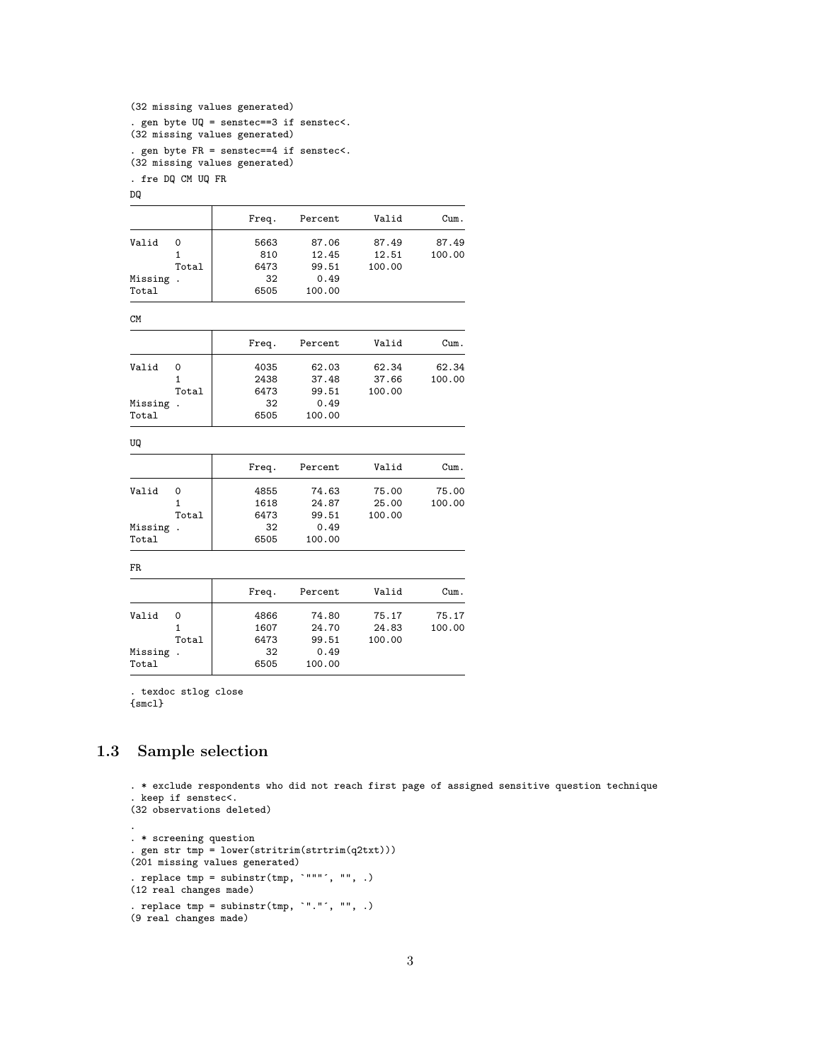```
(32 missing values generated)
. gen byte UQ = senstec==3 if senstec<.
(32 missing values generated)
. gen byte FR = senstec==4 if senstec<.
```
(32 missing values generated)

. fre DQ CM UQ FR

DQ

|         |                      | Freq. | Percent | Valid  | Cum.   |
|---------|----------------------|-------|---------|--------|--------|
| Valid   | 0                    | 5663  | 87.06   | 87.49  | 87.49  |
|         | 1                    | 810   | 12.45   | 12.51  | 100.00 |
|         | Total                | 6473  | 99.51   | 100.00 |        |
| Missing | $\cdot$              | 32    | 0.49    |        |        |
| Total   |                      | 6505  | 100.00  |        |        |
| CM      |                      |       |         |        |        |
|         |                      | Freq. | Percent | Valid  | Cum.   |
| Valid   | 0                    | 4035  | 62.03   | 62.34  | 62.34  |
|         | 1                    | 2438  | 37.48   | 37.66  | 100.00 |
|         | Total                | 6473  | 99.51   | 100.00 |        |
| Missing |                      | 32    | 0.49    |        |        |
| Total   |                      | 6505  | 100.00  |        |        |
| UQ      |                      |       |         |        |        |
|         |                      | Freq. | Percent | Valid  | Cum.   |
| Valid   | 0                    | 4855  | 74.63   | 75.00  | 75.00  |
|         | $\mathbf{1}$         | 1618  | 24.87   | 25.00  | 100.00 |
|         | Total                | 6473  | 99.51   | 100.00 |        |
| Missing | $\cdot$              | 32    | 0.49    |        |        |
| Total   |                      | 6505  | 100.00  |        |        |
| FR      |                      |       |         |        |        |
|         |                      | Freq. | Percent | Valid  | Cum.   |
| Valid   | 0                    | 4866  | 74.80   | 75.17  | 75.17  |
|         | $\mathbf{1}$         | 1607  | 24.70   | 24.83  | 100.00 |
|         | Total                | 6473  | 99.51   | 100.00 |        |
| Missing | $\ddot{\phantom{0}}$ | 32    | 0.49    |        |        |
|         |                      |       |         |        |        |

. texdoc stlog close {smcl}

# <span id="page-2-0"></span>1.3 Sample selection

. \* exclude respondents who did not reach first page of assigned sensitive question technique . keep if senstec<. (32 observations deleted) . . \* screening question . gen str tmp = lower(stritrim(strtrim(q2txt))) (201 missing values generated) . replace  $tmp = subinstr(tmp, '""". , "", .)$ (12 real changes made) . replace  $tmp = subinstr(tmp, '".".$ , "", .) (9 real changes made)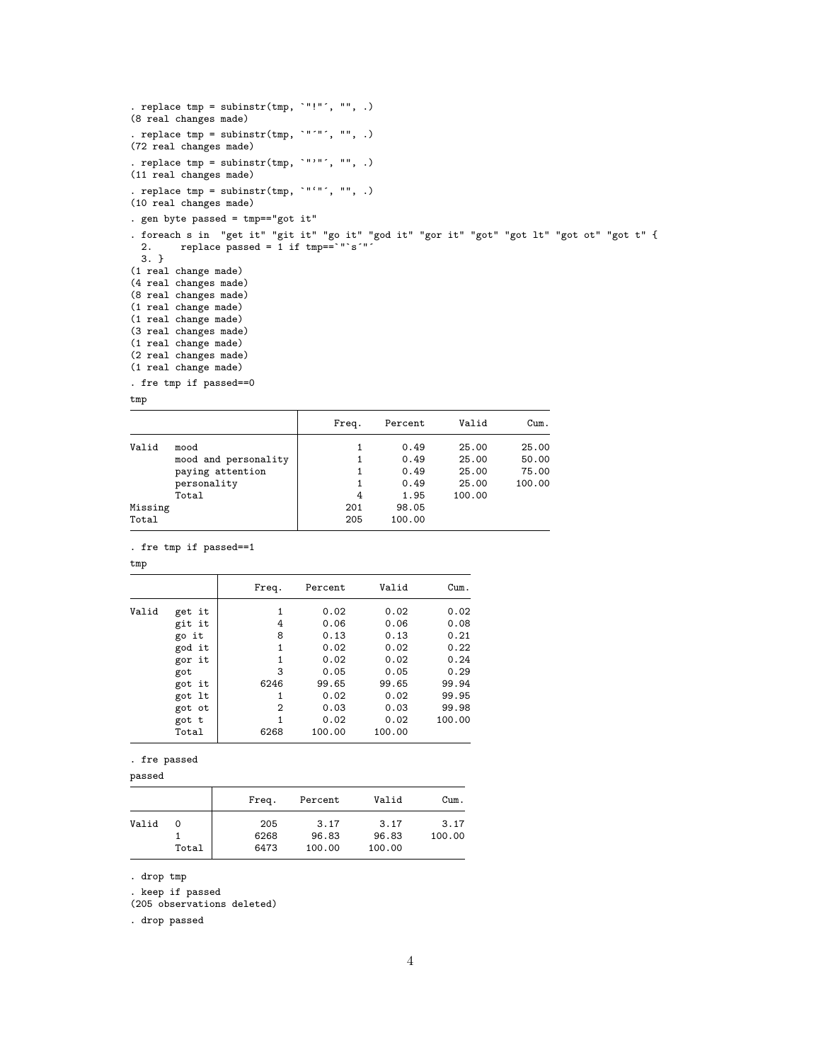```
. replace tmp = subinstr(tmp, """", "", .)
(8 real changes made)
. replace tmp = subinstr(tmp, \cdot"'"', "", .)
(72 real changes made)
. replace tmp = subinstr(tmp, '""", '')(11 real changes made)
. replace tmp = subinstr(tmp, \cdot"'"', "", .)
(10 real changes made)
. gen byte passed = tmp=="got it"
. foreach s in "get it" "git it" "go it" "god it" "gor it" "got" "got lt" "got ot" "got t" {
  2. replace passed = 1 if tmp==`"`s´"´
 3. }
(1 real change made)
(4 real changes made)
(8 real changes made)
(1 real change made)
(1 real change made)
(3 real changes made)
(1 real change made)
(2 real changes made)
(1 real change made)
. fre tmp if passed==0
tmp
```

|         |                      | Freq. | Percent | Valid  | Cum.   |
|---------|----------------------|-------|---------|--------|--------|
| Valid   | mood                 |       | 0.49    | 25.00  | 25.00  |
|         | mood and personality |       | 0.49    | 25.00  | 50.00  |
|         | paying attention     |       | 0.49    | 25.00  | 75.00  |
|         | personality          |       | 0.49    | 25.00  | 100.00 |
|         | Total                | 4     | 1.95    | 100.00 |        |
| Missing |                      | 201   | 98.05   |        |        |
| Total   |                      | 205   | 100.00  |        |        |

. fre tmp if passed==1

tmp

|       |        | Freq.        | Percent | Valid  | Cum.   |
|-------|--------|--------------|---------|--------|--------|
| Valid | get it | 1            | 0.02    | 0.02   | 0.02   |
|       | git it | 4            | 0.06    | 0.06   | 0.08   |
|       | go it  | 8            | 0.13    | 0.13   | 0.21   |
|       | god it | $\mathbf{1}$ | 0.02    | 0.02   | 0.22   |
|       | gor it | 1            | 0.02    | 0.02   | 0.24   |
|       | got    | 3            | 0.05    | 0.05   | 0.29   |
|       | got it | 6246         | 99.65   | 99.65  | 99.94  |
|       | got lt | 1            | 0.02    | 0.02   | 99.95  |
|       | got ot | 2            | 0.03    | 0.03   | 99.98  |
|       | got t  | 1            | 0.02    | 0.02   | 100.00 |
|       | Total  | 6268         | 100.00  | 100.00 |        |

. fre passed

passed

|       |       | Freq. | Percent | Valid  | Cum.   |
|-------|-------|-------|---------|--------|--------|
| Valid | 0     | 205   | 3.17    | 3.17   | 3.17   |
|       |       | 6268  | 96.83   | 96.83  | 100.00 |
|       | Total | 6473  | 100.00  | 100.00 |        |

. drop tmp

. keep if passed

(205 observations deleted)

. drop passed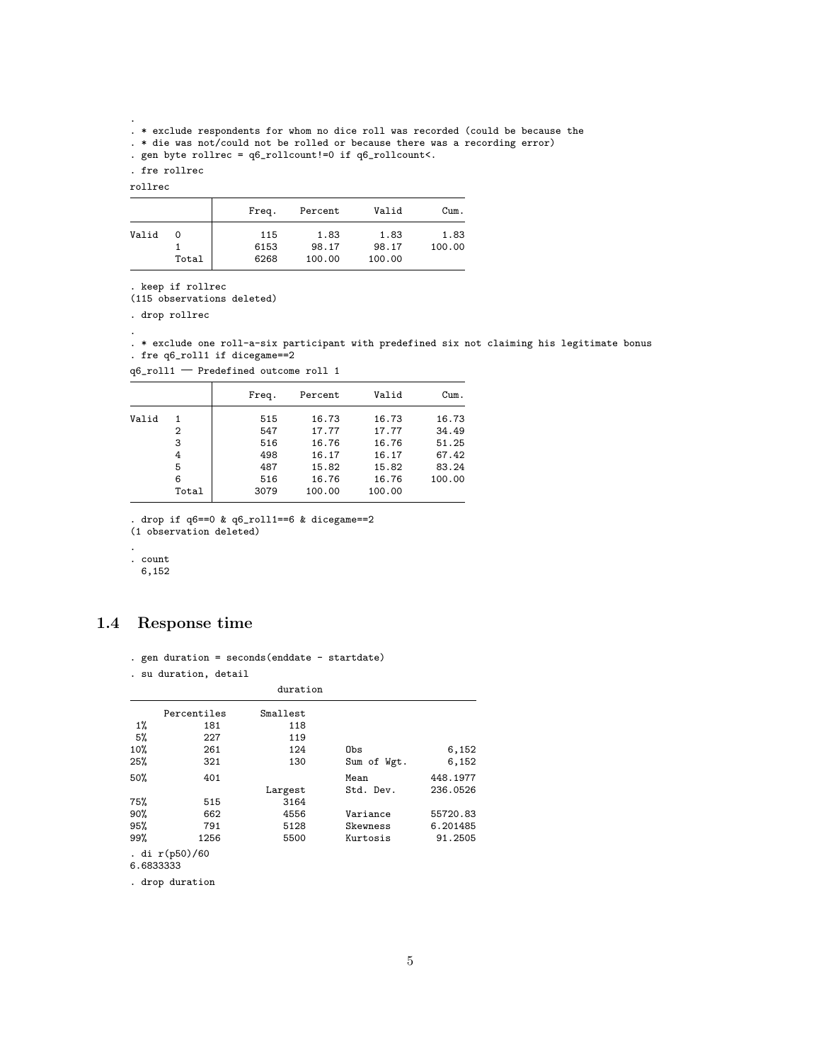. \* exclude respondents for whom no dice roll was recorded (could be because the

. \* die was not/could not be rolled or because there was a recording error)

. gen byte rollrec = q6\_rollcount!=0 if q6\_rollcount<.

. fre rollrec

rollrec

.

|       |       | Freq. | Percent | Valid  | Cum.   |
|-------|-------|-------|---------|--------|--------|
| Valid | 0     | 115   | 1.83    | 1.83   | 1.83   |
|       |       | 6153  | 98.17   | 98.17  | 100.00 |
|       | Total | 6268  | 100.00  | 100.00 |        |

. keep if rollrec

(115 observations deleted)

. drop rollrec

.

. \* exclude one roll-a-six participant with predefined six not claiming his legitimate bonus . fre q6\_roll1 if dicegame==2

| $\tt q6\_roll1$ $-$ Predefined outcome roll 1 |  |
|-----------------------------------------------|--|
|-----------------------------------------------|--|

|       |       | Freq. | Percent | Valid  | Cum.   |
|-------|-------|-------|---------|--------|--------|
| Valid |       | 515   | 16.73   | 16.73  | 16.73  |
|       | 2     | 547   | 17.77   | 17.77  | 34.49  |
|       | 3     | 516   | 16.76   | 16.76  | 51.25  |
|       | 4     | 498   | 16.17   | 16.17  | 67.42  |
|       | 5     | 487   | 15.82   | 15.82  | 83.24  |
|       | 6     | 516   | 16.76   | 16.76  | 100.00 |
|       | Total | 3079  | 100.00  | 100.00 |        |

. drop if q6==0 & q6\_roll1==6 & dicegame==2

(1 observation deleted)

.

. count

6,152

# <span id="page-4-0"></span>1.4 Response time

|  |  |  |  | . gen duration = $seconds(enddate - startedate)$ |  |  |  |
|--|--|--|--|--------------------------------------------------|--|--|--|
|--|--|--|--|--------------------------------------------------|--|--|--|

. su duration, detail

|     | duration       |          |             |          |  |  |  |  |
|-----|----------------|----------|-------------|----------|--|--|--|--|
|     | Percentiles    | Smallest |             |          |  |  |  |  |
| 1%  | 181            | 118      |             |          |  |  |  |  |
| 5%  | 227            | 119      |             |          |  |  |  |  |
| 10% | 261            | 124      | Obs         | 6,152    |  |  |  |  |
| 25% | 321            | 130      | Sum of Wgt. | 6,152    |  |  |  |  |
| 50% | 401            |          | Mean        | 448.1977 |  |  |  |  |
|     |                | Largest  | Std. Dev.   | 236.0526 |  |  |  |  |
| 75% | 515            | 3164     |             |          |  |  |  |  |
| 90% | 662            | 4556     | Variance    | 55720.83 |  |  |  |  |
| 95% | 791            | 5128     | Skewness    | 6.201485 |  |  |  |  |
| 99% | 1256           | 5500     | Kurtosis    | 91.2505  |  |  |  |  |
|     | . di r(p50)/60 |          |             |          |  |  |  |  |

6.6833333

. drop duration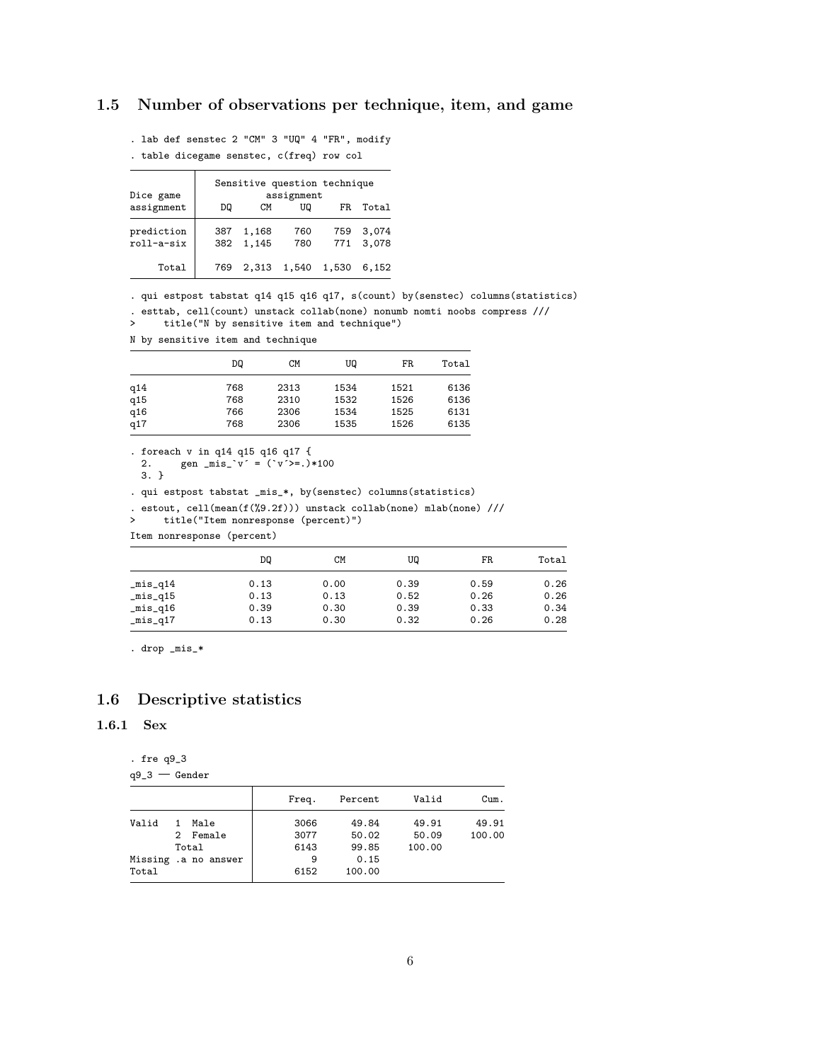# <span id="page-5-0"></span>1.5 Number of observations per technique, item, and game

. lab def senstec 2 "CM" 3 "UQ" 4 "FR", modify

. table dicegame senstec, c(freq) row col

| Dice game                |            |                | Sensitive question technique<br>assignment |            |                |
|--------------------------|------------|----------------|--------------------------------------------|------------|----------------|
| assignment               | DQ         | CМ             | UQ                                         | FR.        | Total          |
| prediction<br>roll-a-six | 387<br>382 | 1,168<br>1,145 | 760<br>780                                 | 759<br>771 | 3.074<br>3,078 |
| Total                    |            | 769 2.313      | 1,540 1,530                                |            | 6.152          |

. qui estpost tabstat q14 q15 q16 q17, s(count) by(senstec) columns(statistics)

. esttab, cell(count) unstack collab(none) nonumb nomti noobs compress ///

> title("N by sensitive item and technique")

N by sensitive item and technique

|     | DQ  | CМ   | UQ   | FR   | Total |
|-----|-----|------|------|------|-------|
| q14 | 768 | 2313 | 1534 | 1521 | 6136  |
| q15 | 768 | 2310 | 1532 | 1526 | 6136  |
| q16 | 766 | 2306 | 1534 | 1525 | 6131  |
| q17 | 768 | 2306 | 1535 | 1526 | 6135  |

```
. foreach v in q14 q15 q16 q17 {
```

```
2. gen _mis_'v' = (y^2) +100
```

```
3. }
```
. qui estpost tabstat \_mis\_\*, by(senstec) columns(statistics)

```
. estout, cell(mean(f(%9.2f))) unstack collab(none) mlab(none) ///<br>> title("Item nonresponse (percent)")
```

```
> title("Item nonresponse (percent)")
```
Item nonresponse (percent)

|                     | DQ   | <b>CM</b> | UQ   | FR   | Total |
|---------------------|------|-----------|------|------|-------|
| $_{mixq14}$         | 0.13 | 0.00      | 0.39 | 0.59 | 0.26  |
| $_{mixq15}$         | 0.13 | 0.13      | 0.52 | 0.26 | 0.26  |
| $\text{\_mis}\_q16$ | 0.39 | 0.30      | 0.39 | 0.33 | 0.34  |
| $_{mixq17}$         | 0.13 | 0.30      | 0.32 | 0.26 | 0.28  |

. drop \_mis\_\*

## <span id="page-5-1"></span>1.6 Descriptive statistics

#### <span id="page-5-2"></span>1.6.1 Sex

. fre q9\_3

 $q9_3 -$  Gender

|       |    |                      | Freq. | Percent | Valid  | Cum.   |
|-------|----|----------------------|-------|---------|--------|--------|
| Valid | 1. | Male                 | 3066  | 49.84   | 49.91  | 49.91  |
|       |    | 2 Female             | 3077  | 50.02   | 50.09  | 100.00 |
|       |    | Total                | 6143  | 99.85   | 100.00 |        |
|       |    | Missing .a no answer | 9     | 0.15    |        |        |
| Total |    |                      | 6152  | 100.00  |        |        |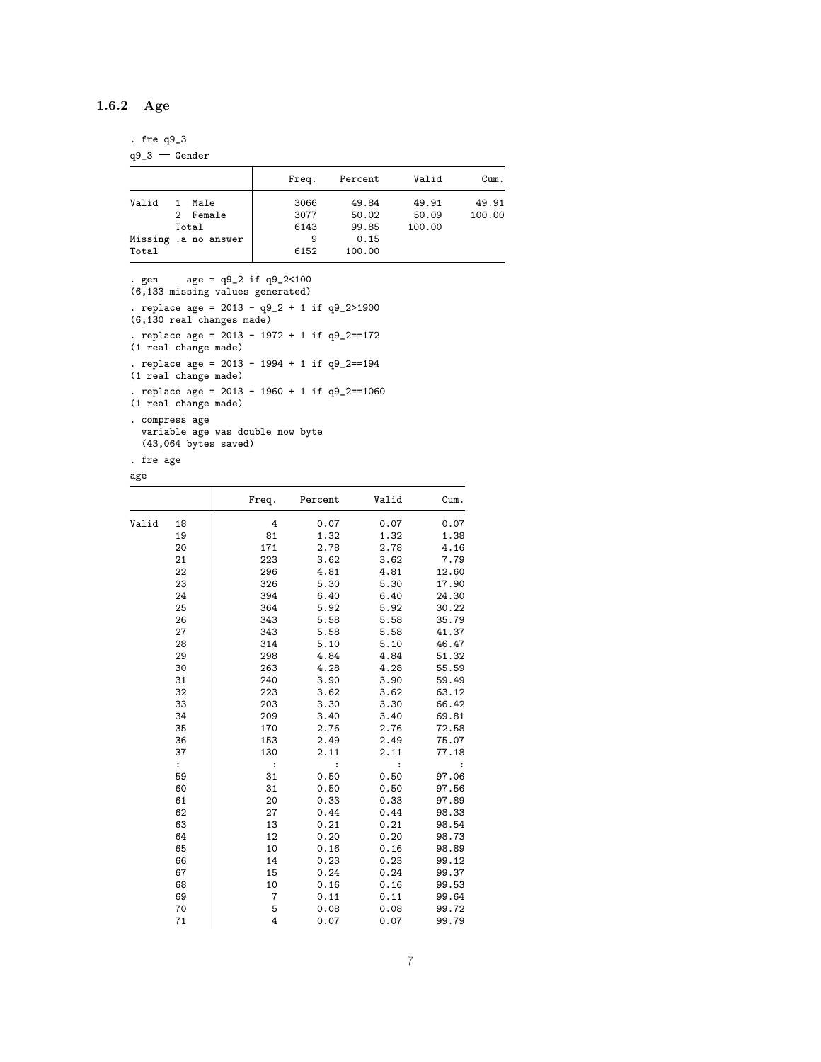## <span id="page-6-0"></span>1.6.2 Age

. fre q9\_3

 $q9_3 -$ Gender

|       |    |                      | Freq. | Percent | Valid  | Cum.   |
|-------|----|----------------------|-------|---------|--------|--------|
| Valid | 1. | Male                 | 3066  | 49.84   | 49.91  | 49.91  |
|       |    | 2 Female             | 3077  | 50.02   | 50.09  | 100.00 |
|       |    | Total                | 6143  | 99.85   | 100.00 |        |
|       |    | Missing .a no answer | 9     | 0.15    |        |        |
| Total |    |                      | 6152  | 100.00  |        |        |

. gen age = q9\_2 if q9\_2<100 (6,133 missing values generated) . replace age = 2013 - q9\_2 + 1 if q9\_2>1900 (6,130 real changes made) . replace age = 2013 - 1972 + 1 if q9\_2==172 (1 real change made) . replace age = 2013 - 1994 + 1 if q9\_2==194 (1 real change made) . replace age = 2013 - 1960 + 1 if q9\_2==1060 (1 real change made) . compress age variable age was double now byte

(43,064 bytes saved)

. fre age

age

| ∽ອ∽                  |       |         |          |                      |
|----------------------|-------|---------|----------|----------------------|
|                      | Freq. | Percent | Valid    | Cum.                 |
| Valid<br>18          | 4     | 0.07    | 0.07     | 0.07                 |
| 19                   | 81    | 1.32    | 1.32     | 1.38                 |
| 20                   | 171   | 2.78    | 2.78     | 4.16                 |
| 21                   | 223   | 3.62    | 3.62     | 7.79                 |
| 22                   | 296   | 4.81    | 4.81     | 12.60                |
| 23                   | 326   | 5.30    | 5.30     | 17.90                |
| 24                   | 394   | 6.40    | 6.40     | 24.30                |
| 25                   | 364   | 5.92    | 5.92     | 30.22                |
| 26                   | 343   | 5.58    | 5.58     | 35.79                |
| 27                   | 343   | 5.58    | 5.58     | 41.37                |
| 28                   | 314   | 5.10    | 5.10     | 46.47                |
| 29                   | 298   | 4.84    | 4.84     | 51.32                |
| 30                   | 263   | 4.28    | 4.28     | 55.59                |
| 31                   | 240   | 3.90    | 3.90     | 59.49                |
| 32                   | 223   | 3.62    | 3.62     | 63.12                |
| 33                   | 203   | 3.30    | 3.30     | 66.42                |
| 34                   | 209   | 3.40    | 3.40     | 69.81                |
| 35                   | 170   | 2.76    | 2.76     | 72.58                |
| 36                   | 153   | 2.49    | 2.49     | 75.07                |
| 37                   | 130   | 2.11    | 2.11     | 77.18                |
| $\ddot{\phantom{a}}$ | :     | :       | $\colon$ | $\ddot{\phantom{a}}$ |
| 59                   | 31    | 0.50    | 0.50     | 97.06                |
| 60                   | 31    | 0.50    | 0.50     | 97.56                |
| 61                   | 20    | 0.33    | 0.33     | 97.89                |
| 62                   | 27    | 0.44    | 0.44     | 98.33                |
| 63                   | 13    | 0.21    | 0.21     | 98.54                |
| 64                   | 12    | 0.20    | 0.20     | 98.73                |
| 65                   | 10    | 0.16    | 0.16     | 98.89                |
| 66                   | 14    | 0.23    | 0.23     | 99.12                |
| 67                   | 15    | 0.24    | 0.24     | 99.37                |
| 68                   | 10    | 0.16    | 0.16     | 99.53                |
| 69                   | 7     | 0.11    | 0.11     | 99.64                |
| 70                   | 5     | 0.08    | 0.08     | 99.72                |
| 71                   | 4     | 0.07    | 0.07     | 99.79                |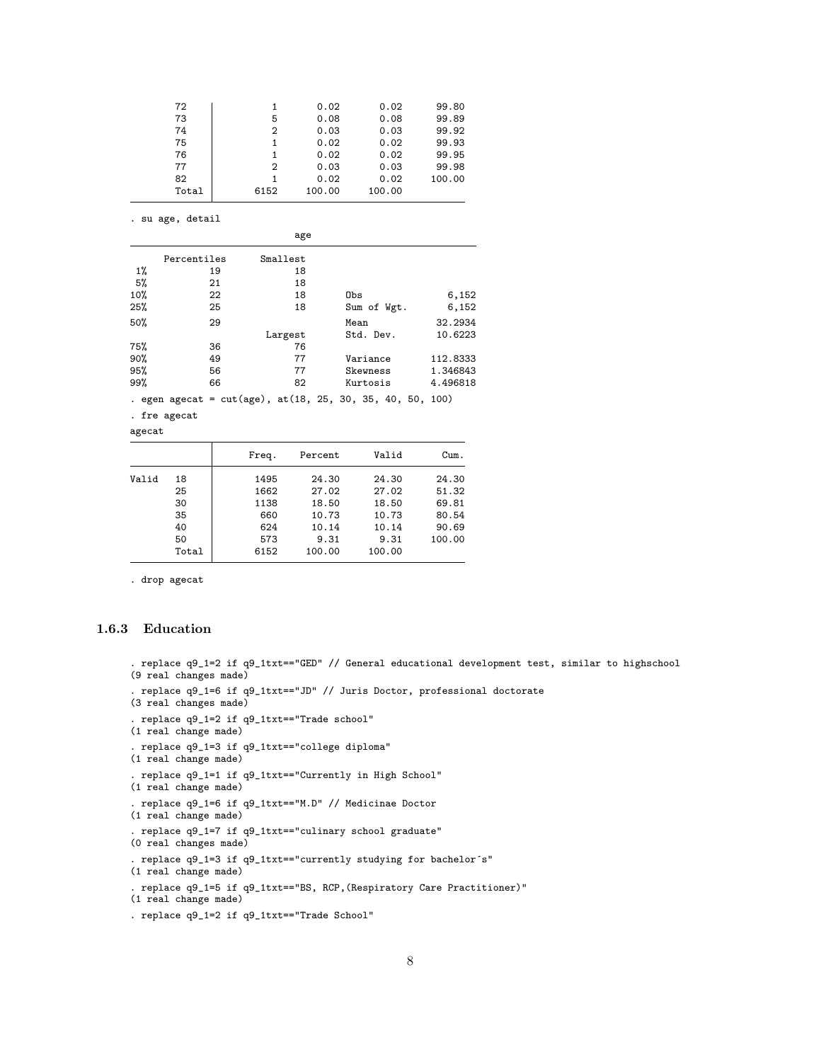| 72    |      | 0.02   | 0.02   | 99.80  |
|-------|------|--------|--------|--------|
| 73    | 5    | 0.08   | 0.08   | 99.89  |
| 74    | 2    | 0.03   | 0.03   | 99.92  |
| 75    |      | 0.02   | 0.02   | 99.93  |
| 76    | 1    | 0.02   | 0.02   | 99.95  |
| 77    | 2    | 0.03   | 0.03   | 99.98  |
| 82    | 1    | 0.02   | 0.02   | 100.00 |
| Total | 6152 | 100.00 | 100.00 |        |

. su age, detail

|        |                                                                 |    | age      |      |           |             |          |
|--------|-----------------------------------------------------------------|----|----------|------|-----------|-------------|----------|
|        | Percentiles                                                     |    | Smallest |      |           |             |          |
| 1%     |                                                                 | 19 | 18       |      |           |             |          |
| 5%     |                                                                 | 21 | 18       |      |           |             |          |
| 10%    |                                                                 | 22 | 18       | Obs  |           |             | 6,152    |
| 25%    |                                                                 | 25 | 18       |      |           | Sum of Wgt. | 6,152    |
| 50%    |                                                                 | 29 |          | Mean |           |             | 32.2934  |
|        |                                                                 |    | Largest  |      | Std. Dev. |             | 10.6223  |
| 75%    |                                                                 | 36 | 76       |      |           |             |          |
| 90%    |                                                                 | 49 | 77       |      | Variance  |             | 112.8333 |
| 95%    |                                                                 | 56 | 77       |      | Skewness  |             | 1.346843 |
| 99%    |                                                                 | 66 | 82       |      | Kurtosis  |             | 4.496818 |
|        | . egen agecat = $cut(age)$ , at $(18, 25, 30, 35, 40, 50, 100)$ |    |          |      |           |             |          |
|        | . fre agecat                                                    |    |          |      |           |             |          |
| agecat |                                                                 |    |          |      |           |             |          |

|       |       | Freq. | Percent | Valid  | Cum.   |
|-------|-------|-------|---------|--------|--------|
| Valid | 18    | 1495  | 24.30   | 24.30  | 24.30  |
|       | 25    | 1662  | 27.02   | 27.02  | 51.32  |
|       | 30    | 1138  | 18.50   | 18.50  | 69.81  |
|       | 35    | 660   | 10.73   | 10.73  | 80.54  |
|       | 40    | 624   | 10.14   | 10.14  | 90.69  |
|       | 50    | 573   | 9.31    | 9.31   | 100.00 |
|       | Total | 6152  | 100.00  | 100.00 |        |
|       |       |       |         |        |        |

. drop agecat

# <span id="page-7-0"></span>1.6.3 Education

```
. replace q9_1=2 if q9_1txt=="GED" // General educational development test, similar to highschool
(9 real changes made)
. replace q9_1=6 if q9_1txt=="JD" // Juris Doctor, professional doctorate
(3 real changes made)
. replace q9_1=2 if q9_1txt=="Trade school"
(1 real change made)
. replace q9_1=3 if q9_1txt=="college diploma"
(1 real change made)
. replace q9_1=1 if q9_1txt=="Currently in High School"
(1 real change made)
. replace q9_1=6 if q9_1txt=="M.D" // Medicinae Doctor
(1 real change made)
. replace q9_1=7 if q9_1txt=="culinary school graduate"
(0 real changes made)
. replace q9_1=3 if q9_1txt=="currently studying for bachelor´s"
(1 real change made)
. replace q9_1=5 if q9_1txt=="BS, RCP,(Respiratory Care Practitioner)"
(1 real change made)
. replace q9_1=2 if q9_1txt=="Trade School"
```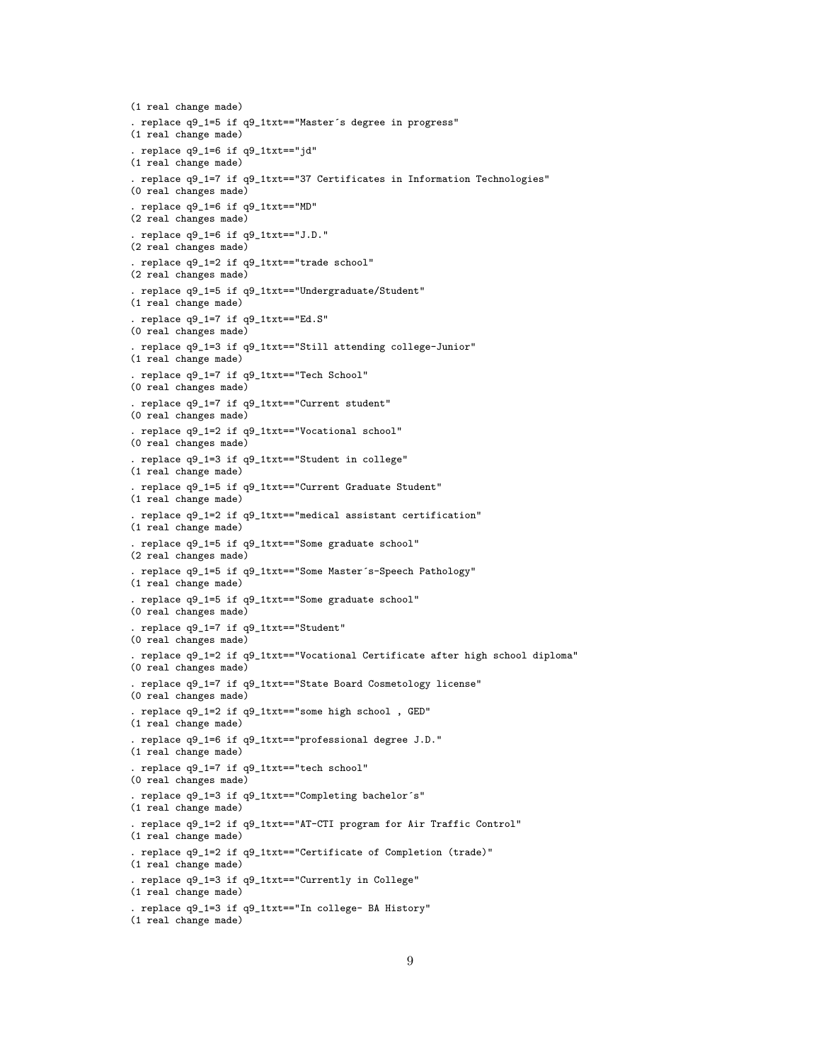```
(1 real change made)
. replace q9_1=5 if q9_1txt=="Master´s degree in progress"
(1 real change made)
. replace q9_1=6 if q9_1txt=="jd"
(1 real change made)
. replace q9_1=7 if q9_1txt=="37 Certificates in Information Technologies"
(0 real changes made)
. replace q9_1=6 if q9_1txt=="MD"
(2 real changes made)
. replace q9_1=6 if q9_1txt=="J.D."
(2 real changes made)
. replace q9_1=2 if q9_1txt=="trade school"
(2 real changes made)
. replace q9_1=5 if q9_1txt=="Undergraduate/Student"
(1 real change made)
. replace q9_1=7 if q9_1txt=="Ed.S"
(0 real changes made)
. replace q9_1=3 if q9_1txt=="Still attending college-Junior"
(1 real change made)
. replace q9_1=7 if q9_1txt=="Tech School"
(0 real changes made)
. replace q9_1=7 if q9_1txt=="Current student"
(0 real changes made)
. replace q9_1=2 if q9_1txt=="Vocational school"
(0 real changes made)
. replace q9_1=3 if q9_1txt=="Student in college"
(1 real change made)
. replace q9_1=5 if q9_1txt=="Current Graduate Student"
(1 real change made)
. replace q9_1=2 if q9_1txt=="medical assistant certification"
(1 real change made)
. replace q9_1=5 if q9_1txt=="Some graduate school"
(2 real changes made)
. replace q9_1=5 if q9_1txt=="Some Master´s-Speech Pathology"
(1 real change made)
. replace q9_1=5 if q9_1txt=="Some graduate school"
(0 real changes made)
. replace q9_1=7 if q9_1txt=="Student"
(0 real changes made)
. replace q9_1=2 if q9_1txt=="Vocational Certificate after high school diploma"
(0 real changes made)
. replace q9_1=7 if q9_1txt=="State Board Cosmetology license"
(0 real changes made)
. replace q9_1=2 if q9_1txt=="some high school , GED"
(1 real change made)
. replace q9_1=6 if q9_1txt=="professional degree J.D."
(1 real change made)
. replace q9_1=7 if q9_1txt=="tech school"
(0 real changes made)
. replace q9_1=3 if q9_1txt=="Completing bachelor´s"
(1 real change made)
. replace q9_1=2 if q9_1txt=="AT-CTI program for Air Traffic Control"
(1 real change made)
. replace q9_1=2 if q9_1txt=="Certificate of Completion (trade)"
(1 real change made)
. replace q9_1=3 if q9_1txt=="Currently in College"
(1 real change made)
. replace q9_1=3 if q9_1txt=="In college- BA History"
(1 real change made)
```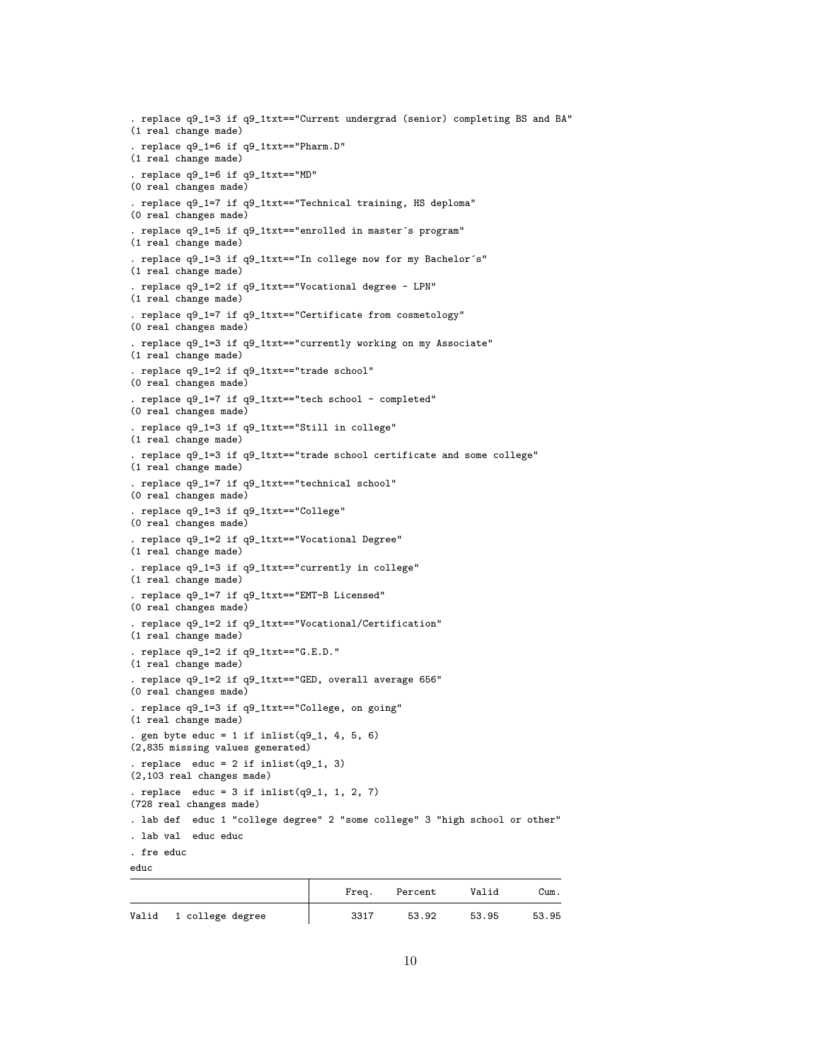```
. replace q9_1=3 if q9_1txt=="Current undergrad (senior) completing BS and BA"
(1 real change made)
. replace q9_1=6 if q9_1txt=="Pharm.D"
(1 real change made)
. replace q9_1=6 if q9_1txt=="MD"
(0 real changes made)
. replace q9_1=7 if q9_1txt=="Technical training, HS deploma"
(0 real changes made)
. replace q9_1=5 if q9_1txt=="enrolled in master´s program"
(1 real change made)
. replace q9_1=3 if q9_1txt=="In college now for my Bachelor´s"
(1 real change made)
. replace q9_1=2 if q9_1txt=="Vocational degree - LPN"
(1 real change made)
. replace q9_1=7 if q9_1txt=="Certificate from cosmetology"
(0 real changes made)
. replace q9_1=3 if q9_1txt=="currently working on my Associate"
(1 real change made)
. replace q9_1=2 if q9_1txt=="trade school"
(0 real changes made)
. replace q9_1=7 if q9_1txt=="tech school - completed"
(0 real changes made)
. replace q9_1=3 if q9_1txt=="Still in college"
(1 real change made)
. replace q9_1=3 if q9_1txt=="trade school certificate and some college"
(1 real change made)
. replace q9_1=7 if q9_1txt=="technical school"
(0 real changes made)
. replace q9_1=3 if q9_1txt=="College"
(0 real changes made)
. replace q9_1=2 if q9_1txt=="Vocational Degree"
(1 real change made)
. replace q9_1=3 if q9_1txt=="currently in college"
(1 real change made)
. replace q9_1=7 if q9_1txt=="EMT-B Licensed"
(0 real changes made)
. replace q9_1=2 if q9_1txt=="Vocational/Certification"
(1 real change made)
. replace q9_1=2 if q9_1txt=="G.E.D."
(1 real change made)
. replace q9_1=2 if q9_1txt=="GED, overall average 656"
(0 real changes made)
. replace q9_1=3 if q9_1txt=="College, on going"
(1 real change made)
. gen byte educ = 1 if inlist(q9_1, 4, 5, 6)
(2,835 missing values generated)
. replace educ = 2 if inlist(q9_1, 3)
(2,103 real changes made)
. replace educ = 3 if inlist(q9_1, 1, 2, 7)
(728 real changes made)
. lab def educ 1 "college degree" 2 "some college" 3 "high school or other"
. lab val educ educ
. fre educ
educ
```

|                        | Freq. | Percent | Valid | Cum.  |
|------------------------|-------|---------|-------|-------|
| Valid 1 college degree | 3317  | 53.92   | 53.95 | 53.95 |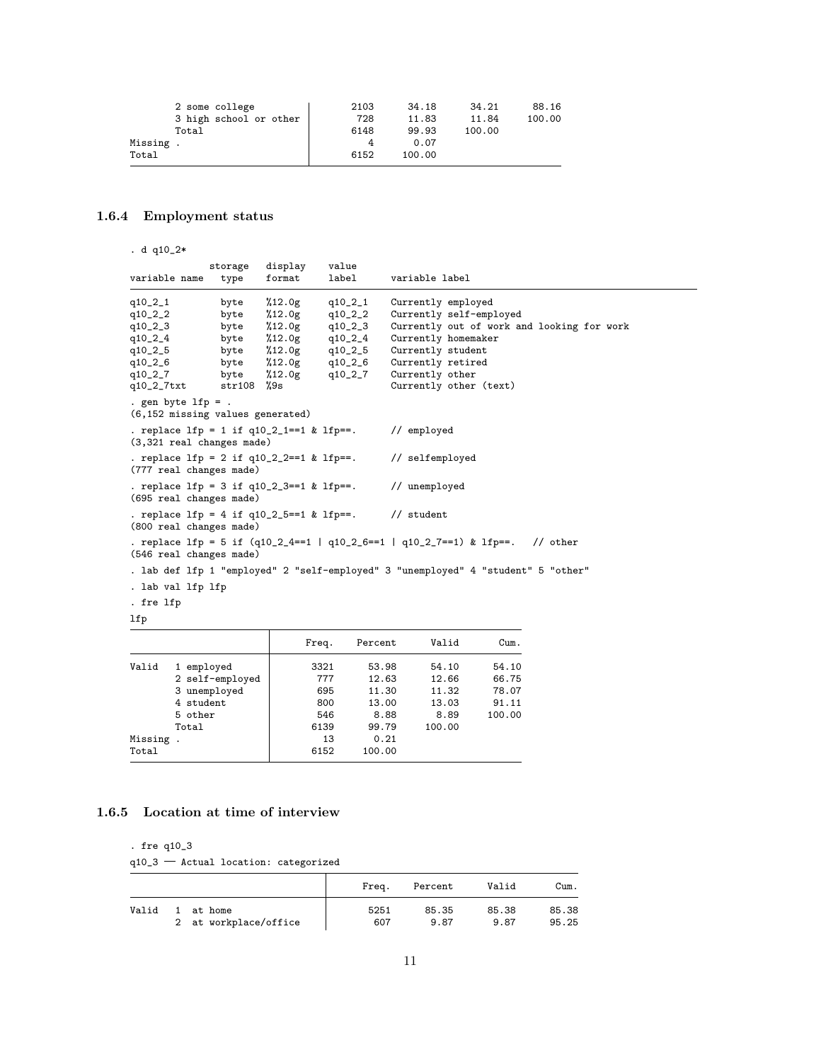|          | 2 some college         | 2103 | 34.18  | 34.21  | 88.16  |
|----------|------------------------|------|--------|--------|--------|
|          | 3 high school or other | 728  | 11.83  | 11.84  | 100.00 |
|          | Total                  | 6148 | 99.93  | 100.00 |        |
| Missing. |                        |      | 0.07   |        |        |
| Total    |                        | 6152 | 100.00 |        |        |
|          |                        |      |        |        |        |

# <span id="page-10-0"></span>1.6.4 Employment status

. d q10\_2\*

| variable name                                                                           | storage<br>type | display<br>format | value<br>label   | variable label                                                                        |
|-----------------------------------------------------------------------------------------|-----------------|-------------------|------------------|---------------------------------------------------------------------------------------|
| $q10_21$                                                                                | byte            | %12.0g            | q10_2_1          | Currently employed                                                                    |
| $q10_2_2$                                                                               | byte            | %12.0g            | $q10_2_2$        | Currently self-employed                                                               |
| $q10_2_3$                                                                               | byte            | %12.0g            | $q10_2_3$        | Currently out of work and looking for work                                            |
| $q10_2_4$                                                                               | byte            | %12.0g            | q10_2_4          | Currently homemaker                                                                   |
| q10_2_5                                                                                 | byte            |                   | $%12.0g$ q10_2_5 | Currently student                                                                     |
| q10_2_6                                                                                 | byte            |                   | $%12.0g$ q10_2_6 | Currently retired                                                                     |
| $q10_2_7$                                                                               | byte            | %12.0g            | q10_2_7          | Currently other                                                                       |
| q10_2_7txt                                                                              | $str108$ %9s    |                   |                  | Currently other (text)                                                                |
| . gen byte $lfp = .$<br>(6,152 missing values generated)                                |                 |                   |                  |                                                                                       |
| . replace $1fp = 1$ if $q10_21 == 1$ & $1fp ==$ .<br>$(3,321$ real changes made)        |                 |                   |                  | // employed                                                                           |
| . replace lfp = 2 if q10_2_2==1 & lfp==.<br>(777 real changes made)                     |                 |                   |                  | // selfemployed                                                                       |
| (695 real changes made)                                                                 |                 |                   |                  | . replace $1fp = 3$ if $q10_23 == 1$ & $1fp ==$ . // unemployed                       |
| . replace $1fp = 4$ if $q10_25 == 1$ & $1fp ==$ . // student<br>(800 real changes made) |                 |                   |                  |                                                                                       |
| (546 real changes made)                                                                 |                 |                   |                  | . replace lfp = 5 if $(q10_2_4 == 1   q10_2_6 == 1   q10_2_7 == 1)$ & lfp==. // other |
|                                                                                         |                 |                   |                  | . lab def lfp 1 "employed" 2 "self-employed" 3 "unemployed" 4 "student" 5 "other"     |
| . lab val lfp lfp                                                                       |                 |                   |                  |                                                                                       |
| . fre lfp                                                                               |                 |                   |                  |                                                                                       |
| lfp                                                                                     |                 |                   |                  |                                                                                       |

|          |                 | Freq. | Percent | Valid  | Cum.   |
|----------|-----------------|-------|---------|--------|--------|
| Valid    | 1 employed      | 3321  | 53.98   | 54.10  | 54.10  |
|          | 2 self-employed | 777   | 12.63   | 12.66  | 66.75  |
|          | 3 unemployed    | 695   | 11.30   | 11.32  | 78.07  |
|          | 4 student       | 800   | 13.00   | 13.03  | 91.11  |
|          | 5 other         | 546   | 8.88    | 8.89   | 100.00 |
|          | Total           | 6139  | 99.79   | 100.00 |        |
| Missing. |                 | 13    | 0.21    |        |        |
| Total    |                 | 6152  | 100.00  |        |        |

## <span id="page-10-1"></span>1.6.5 Location at time of interview

. fre q10\_3

 $q10_3$  – Actual location: categorized

|       |                       | Frea. | Percent | Valid | Cum.  |
|-------|-----------------------|-------|---------|-------|-------|
| Valid | at home               | 5251  | 85.35   | 85.38 | 85.38 |
|       | 2 at workplace/office | 607   | 9.87    | 9.87  | 95.25 |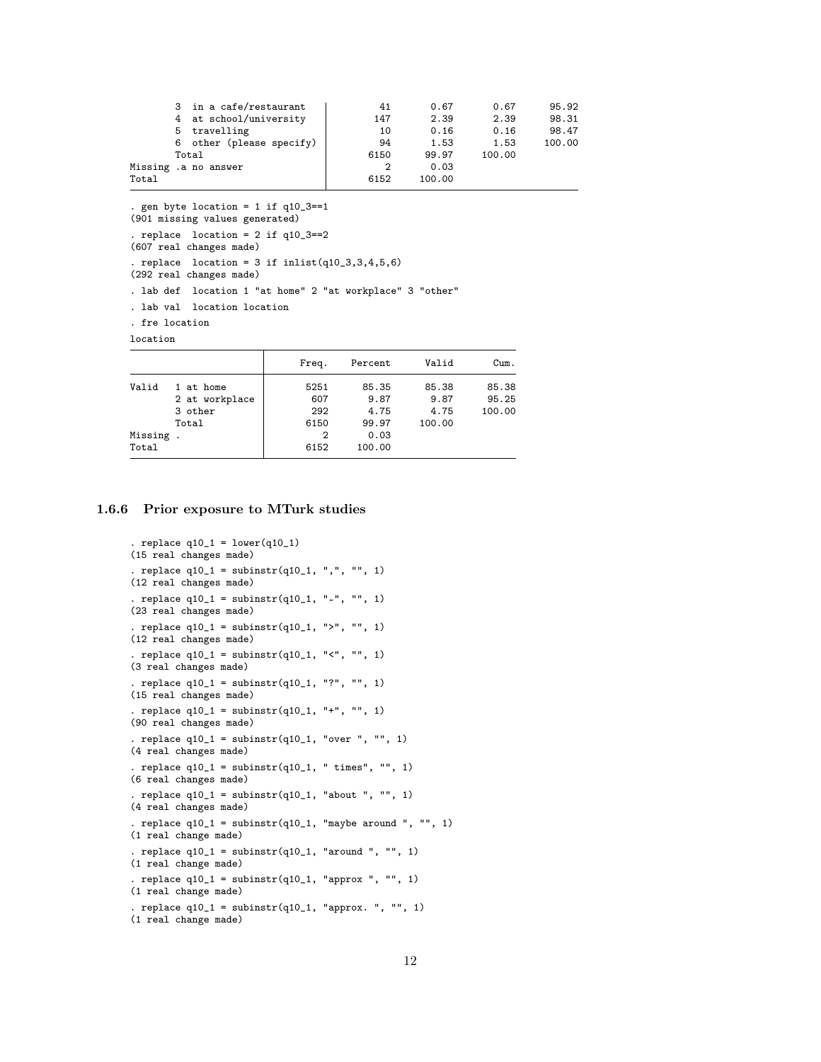|       | 3 in a cafe/restaurant   | 41   | 0.67   | 0.67   | 95.92  |
|-------|--------------------------|------|--------|--------|--------|
|       | 4 at school/university   | 147  | 2.39   | 2.39   | 98.31  |
|       | travelling<br>5.         | 10   | 0.16   | 0.16   | 98.47  |
|       | 6 other (please specify) | 94   | 1.53   | 1.53   | 100.00 |
|       | Total                    | 6150 | 99.97  | 100.00 |        |
|       | Missing .a no answer     | 2    | 0.03   |        |        |
| Total |                          | 6152 | 100.00 |        |        |
|       |                          |      |        |        |        |

. gen byte location = 1 if q10\_3==1 (901 missing values generated) . replace  $location = 2 if q10_3 == 2$ (607 real changes made) . replace location =  $3$  if inlist(q10\_3,3,4,5,6) (292 real changes made) . lab def location 1 "at home" 2 "at workplace" 3 "other" . lab val location location . fre location location

|          |                | Freq. | Percent | Valid  | Cum.   |
|----------|----------------|-------|---------|--------|--------|
| Valid    | 1 at home      | 5251  | 85.35   | 85.38  | 85.38  |
|          | 2 at workplace | 607   | 9.87    | 9.87   | 95.25  |
|          | 3 other        | 292   | 4.75    | 4.75   | 100.00 |
|          | Total          | 6150  | 99.97   | 100.00 |        |
| Missing. |                | 2     | 0.03    |        |        |
| Total    |                | 6152  | 100.00  |        |        |

#### <span id="page-11-0"></span>1.6.6 Prior exposure to MTurk studies

```
. replace q10_1 = \text{lower}(q10_1)(15 real changes made)
. replace q10_1 = subinstr(q10_1, ",", "", 1)
(12 real changes made)
. replace q10_1 = \text{subinstr}(q10_1, " -", "", 1)(23 real changes made)
. replace q10_1 = subinstr(q10_1, ">", "", 1)
(12 real changes made)
. replace q10_1 = subinstr(q10_1, "10"), "1", 1)
(3 real changes made)
. replace q10_1 = subinstr(q10_1, "?", "", 1)
(15 real changes made)
. replace q10_1 = subinstr(q10_1, "+", "", 1)
(90 real changes made)
. replace q10_1 = subinstr(q10_1, "over ", "", 1)
(4 real changes made)
. replace q10_1 = subinstr(q10_1, "times", "(6 real changes made)
. replace q10_1 = subinstr(q10_1, "about ", "", 1)
(4 real changes made)
. replace q10_1 = subinstr(q10_1, "maybe around ", "", 1)
(1 real change made)
. replace q10_1 = subinstr(q10_1, "around ", "", 1)
(1 real change made)
. replace q10_1 = subinstr(q10_1, "approx ", "", 1)
(1 real change made)
. replace q10_1 = subinstr(q10_1, "approx. ", "", 1)
(1 real change made)
```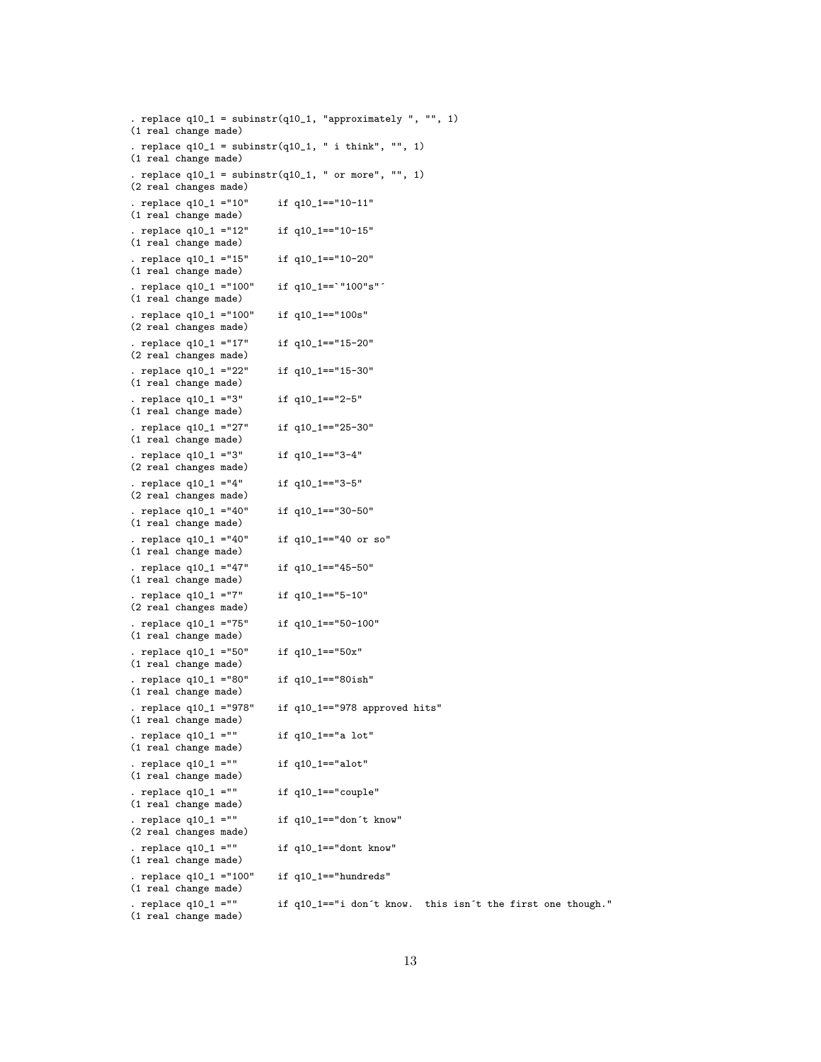. replace  $q10_1 =$  subinstr( $q10_1$ , "approximately ", "", 1) (1 real change made) . replace  $q10_1 =$  subinstr( $q10_1,$  " i think", "", 1) (1 real change made) . replace  $q10_1 =$  subinstr( $q10_1$ , " or more", "", 1) (2 real changes made) . replace q10\_1 ="10" if q10\_1=="10-11" (1 real change made) . replace q10\_1 ="12" if q10\_1=="10-15" (1 real change made) . replace q10\_1 ="15" if q10\_1=="10-20" (1 real change made) . replace q10\_1 ="100" if q10\_1==`"100"s"´ (1 real change made) . replace q10\_1 ="100" if q10\_1=="100s" (2 real changes made) . replace q10\_1 ="17" if q10\_1=="15-20" (2 real changes made) . replace q10\_1 ="22" if q10\_1=="15-30" (1 real change made) . replace q10\_1 ="3" if q10\_1=="2-5" (1 real change made) . replace q10\_1 ="27" if q10\_1=="25-30" (1 real change made) . replace q10\_1 ="3" if q10\_1=="3-4" (2 real changes made) . replace q10\_1 ="4" if q10\_1=="3-5" (2 real changes made) . replace q10\_1 ="40" if q10\_1=="30-50" (1 real change made) . replace q10\_1 ="40" if q10\_1=="40 or so" (1 real change made) . replace q10\_1 ="47" if q10\_1=="45-50" (1 real change made) . replace q10\_1 ="7" if q10\_1=="5-10" (2 real changes made) . replace q10\_1 ="75" if q10\_1=="50-100" (1 real change made) . replace q10\_1 ="50" if q10\_1=="50x" (1 real change made) . replace q10\_1 ="80" if q10\_1=="80ish" (1 real change made) . replace q10\_1 ="978" if q10\_1=="978 approved hits" (1 real change made) . replace  $q10_1 =$ "" if  $q10_1 =$ =="a lot" (1 real change made) . replace  $q10_1 = ""$  if  $q10_1 = "alot"$ (1 real change made) . replace  $q10_1 = ""$  if  $q10_1 = "couple"$ (1 real change made) . replace  $q10_1 =$ "" if  $q10_1 =$ ="don't know" (2 real changes made) replace  $q10_1 = \n\begin{cases} \n\text{if } q10_1 = \n\end{cases}$  if  $q10_1 = \n\begin{cases} \n\text{if } q10 = \n\end{cases}$ (1 real change made) . replace q10\_1 ="100" if q10\_1=="hundreds" (1 real change made) . replace q10\_1 ="" if q10\_1=="i don´t know. this isn´t the first one though."

(1 real change made)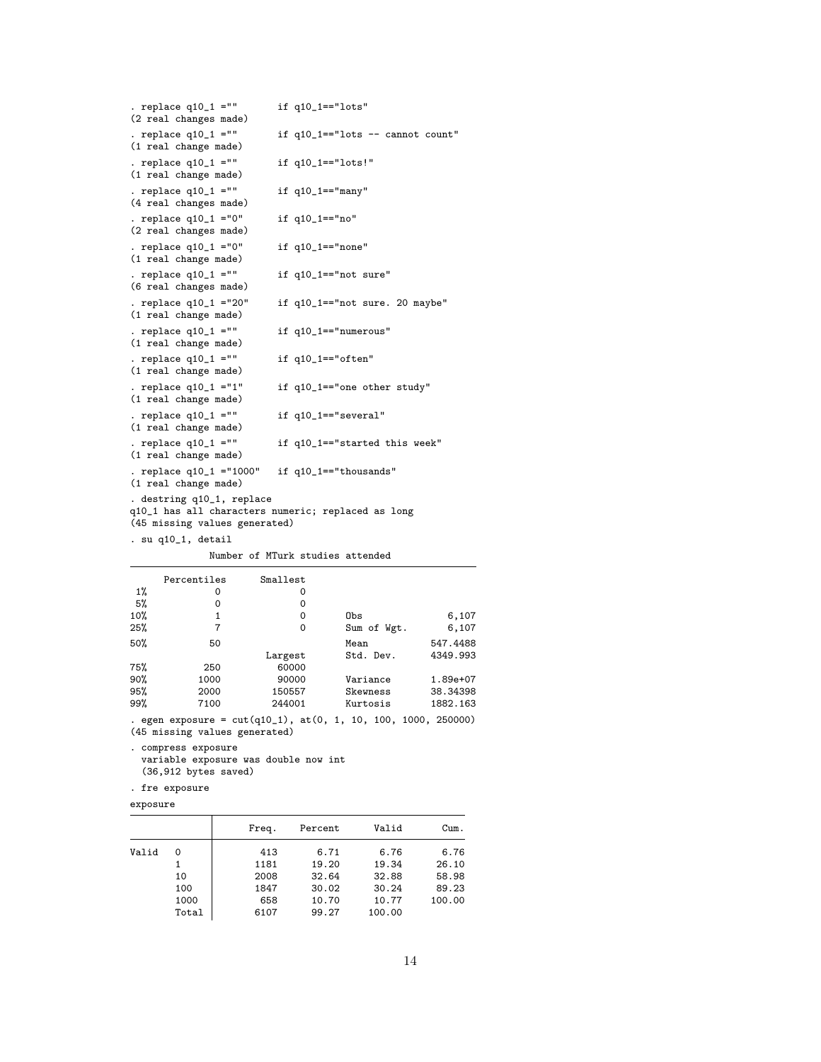| . replace $q10_1 = ""$<br>(2 real changes made)                                                                  | if $q10_1 == "ldts"$                 |
|------------------------------------------------------------------------------------------------------------------|--------------------------------------|
| . replace $q10_1 = ""$<br>(1 real change made)                                                                   | if $q10_1 == "ldts -- cannot count"$ |
| . replace $q10_1 = ""$<br>(1 real change made)                                                                   | if q10_1 == "lots!"                  |
| . replace $q10_1 = ""$<br>(4 real changes made)                                                                  | if $q10_1 == "many"$                 |
| . replace $q10_1 = 0$ "<br>(2 real changes made)                                                                 | if q10_1 == "no"                     |
| . replace $q10_1 = 0$ "<br>(1 real change made)                                                                  | if $q10_1 == "none"$                 |
| . replace $q10_1 = ""$<br>(6 real changes made)                                                                  | if q10_1=="not sure"                 |
| . replace q10_1 ="20"<br>(1 real change made)                                                                    | if q10_1=="not sure. 20 maybe"       |
| . replace $q10_1$ =""<br>(1 real change made)                                                                    | if q10_1=="numerous"                 |
| . replace $q10_1 = ""$<br>(1 real change made)                                                                   | if $q10_1 == "often"$                |
| . replace $q10_1 = "1"$<br>(1 real change made)                                                                  | if q10_1 == "one other study"        |
| . replace $q10_1 = 1$ "<br>(1 real change made)                                                                  | if q10_1=="several"                  |
| . replace $q10_1 = 11$<br>(1 real change made)                                                                   | if q10_1=="started this week"        |
| . replace q10_1 ="1000"<br>(1 real change made)                                                                  | if q10_1=="thousands"                |
| . destring q10_1, replace<br>q10_1 has all characters numeric; replaced as long<br>(45 missing values generated) |                                      |
| . su q10_1, detail                                                                                               |                                      |

Number of MTurk studies attended

|     | Percentiles | Smallest                                                           |             |          |
|-----|-------------|--------------------------------------------------------------------|-------------|----------|
| 1%  | 0           | 0                                                                  |             |          |
| 5%  | 0           | 0                                                                  |             |          |
| 10% | 1           | 0                                                                  | Obs         | 6,107    |
| 25% | 7           | 0                                                                  | Sum of Wgt. | 6,107    |
| 50% | 50          |                                                                    | Mean        | 547.4488 |
|     |             | Largest                                                            | Std. Dev.   | 4349.993 |
| 75% | 250         | 60000                                                              |             |          |
| 90% | 1000        | 90000                                                              | Variance    | 1.89e+07 |
| 95% | 2000        | 150557                                                             | Skewness    | 38.34398 |
| 99% | 7100        | 244001                                                             | Kurtosis    | 1882.163 |
|     |             | . egen exposure = $cut(q10_1)$ , $at(0, 1, 10, 100, 1000, 250000)$ |             |          |

(45 missing values generated)

. compress exposure

```
variable exposure was double now int
(36,912 bytes saved)
```

```
. fre exposure
```

```
exposure
```

|       |       | Freq. | Percent | Valid  | Cum.   |
|-------|-------|-------|---------|--------|--------|
| Valid | 0     | 413   | 6.71    | 6.76   | 6.76   |
|       |       | 1181  | 19.20   | 19.34  | 26.10  |
|       | 10    | 2008  | 32.64   | 32.88  | 58.98  |
|       | 100   | 1847  | 30.02   | 30.24  | 89.23  |
|       | 1000  | 658   | 10.70   | 10.77  | 100.00 |
|       | Total | 6107  | 99.27   | 100.00 |        |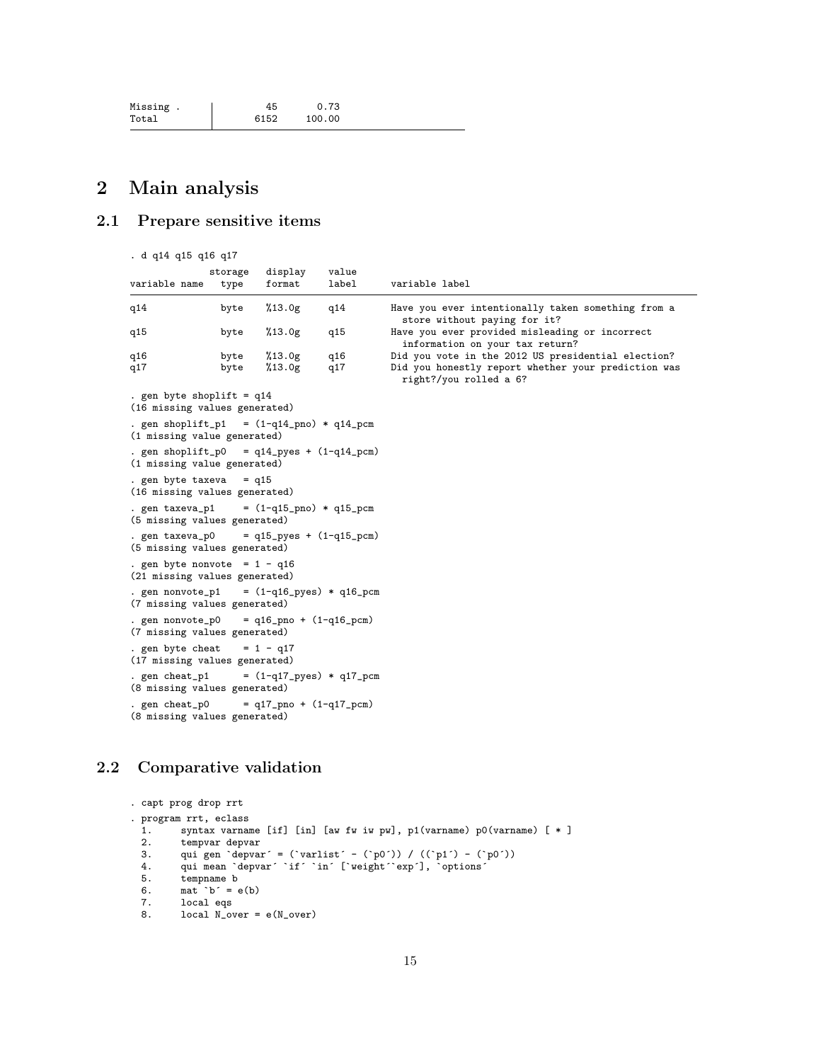| Missing. | 45   | 0.73   |
|----------|------|--------|
| Total    | 6152 | 100.00 |

# <span id="page-14-0"></span>2 Main analysis

# <span id="page-14-1"></span>2.1 Prepare sensitive items

. d q14 q15 q16 q17

| variable name                                                                   | storage<br>type | display<br>format | value<br>label           | variable label                                                                                                                      |
|---------------------------------------------------------------------------------|-----------------|-------------------|--------------------------|-------------------------------------------------------------------------------------------------------------------------------------|
| q14                                                                             | byte            | %13.0g            | q14                      | Have you ever intentionally taken something from a<br>store without paying for it?                                                  |
| q15                                                                             | byte            | %13.0g            | q15                      | Have you ever provided misleading or incorrect<br>information on your tax return?                                                   |
| q16<br>q17                                                                      | byte<br>byte    | %13.0g<br>%13.0g  | q16<br>q17               | Did you vote in the 2012 US presidential election?<br>Did you honestly report whether your prediction was<br>right?/you rolled a 6? |
| . gen byte shoplift = $q14$<br>(16 missing values generated)                    |                 |                   |                          |                                                                                                                                     |
| . gen shoplift_p1 = $(1-q14_pno) * q14_pcm$<br>(1 missing value generated)      |                 |                   |                          |                                                                                                                                     |
| . gen shoplift_p0 = $q14$ _pyes + $(1-q14$ _pcm)<br>(1 missing value generated) |                 |                   |                          |                                                                                                                                     |
| . gen byte taxeva = $q15$<br>(16 missing values generated)                      |                 |                   |                          |                                                                                                                                     |
| . gen taxeva_p1 = $(1-q15_p) * q15_p$ cm<br>(5 missing values generated)        |                 |                   |                          |                                                                                                                                     |
| . gen $taxeva_p0 = q15_pyes + (1-q15_pcm)$<br>(5 missing values generated)      |                 |                   |                          |                                                                                                                                     |
| . gen byte nonvote = $1 - q16$<br>(21 missing values generated)                 |                 |                   |                          |                                                                                                                                     |
| . gen nonvote_p1 = $(1-q16_pyes) * q16_pcm$<br>(7 missing values generated)     |                 |                   |                          |                                                                                                                                     |
| . gen nonvote_p0 = $q16$ _pno + $(1-q16$ _pcm)<br>(7 missing values generated)  |                 |                   |                          |                                                                                                                                     |
| . gen byte cheat = $1 - q17$<br>(17 missing values generated)                   |                 |                   |                          |                                                                                                                                     |
| . gen cheat_p1<br>(8 missing values generated)                                  |                 |                   | = (1-q17_pyes) * q17_pcm |                                                                                                                                     |
| . gen cheat_p0 = $q17$ _pno + $(1-q17$ _pcm)<br>(8 missing values generated)    |                 |                   |                          |                                                                                                                                     |

# <span id="page-14-2"></span>2.2 Comparative validation

```
. capt prog drop rrt
. program rrt, eclass
 1. syntax varname [if] [in] [aw fw iw pw], p1(varname) p0(varname) [ * ] 2. tempvar depvar
  2. tempvar depvar<br>3. qui gen `depvar
  3. qui gen `depvar´ = (`varlist´ - (`p0´)) / ((`p1´) - (`p0´))
  4. qui mean `depvar´ `if´ `in´ [`weight´`exp´], `options´
  5. tempname b<br>6. mat b^{\prime} = \epsilon6. mat b^{\prime} = e(b)<br>7. local eqs
         local eqs
  8. local N_over = e(N_over)
```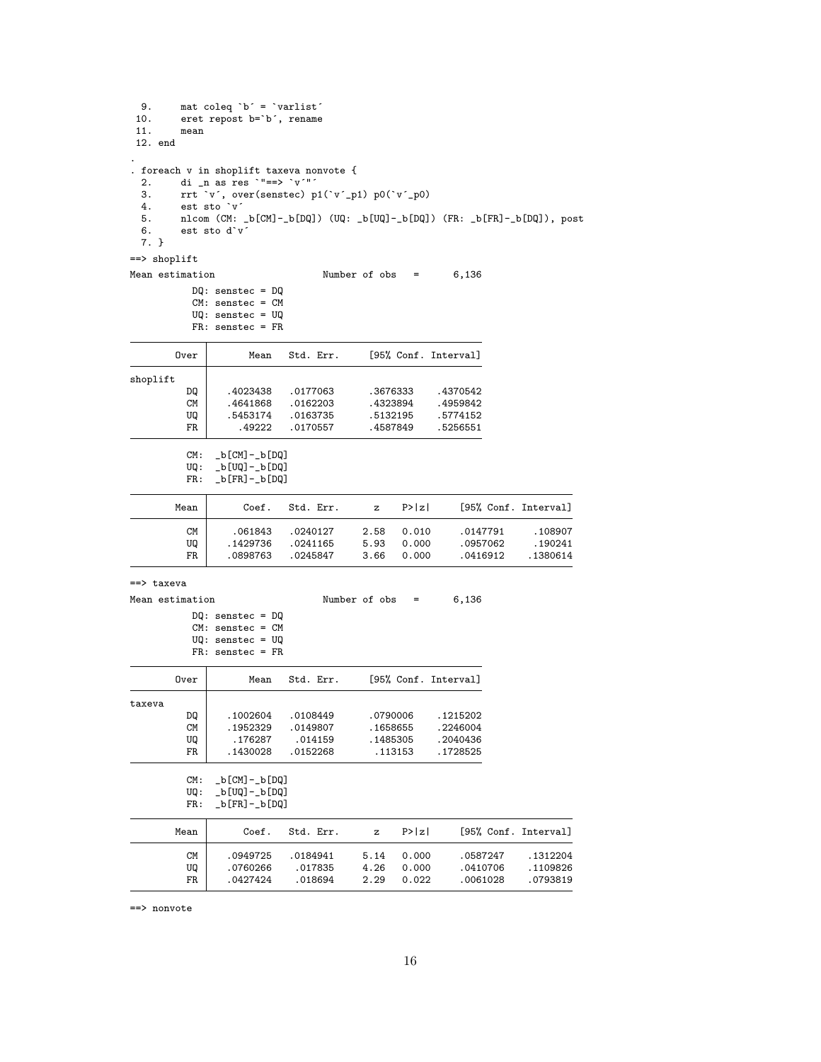| 9.                 | mat coleq `b´ = `varlist´                                                                     |                      |                   |        |                      |                      |
|--------------------|-----------------------------------------------------------------------------------------------|----------------------|-------------------|--------|----------------------|----------------------|
| 10.<br>11.<br>mean | eret repost b='b', rename                                                                     |                      |                   |        |                      |                      |
| 12. end            |                                                                                               |                      |                   |        |                      |                      |
|                    | . foreach v in shoplift taxeva nonvote {                                                      |                      |                   |        |                      |                      |
| 2.<br>З.           | di _n as res `"==> ` $v$ '"'<br>rrt 'v', over(senstec) p1('v'_p1) p0('v'_p0)                  |                      |                   |        |                      |                      |
| 4.                 | est sto `v´                                                                                   |                      |                   |        |                      |                      |
| 5.                 | nlcom (CM: _b[CM]-_b[DQ]) (UQ: _b[UQ]-_b[DQ]) (FR: _b[FR]-_b[DQ]), post                       |                      |                   |        |                      |                      |
| 6.                 | est sto d'v'                                                                                  |                      |                   |        |                      |                      |
| 7. }               |                                                                                               |                      |                   |        |                      |                      |
| ==> shoplift       |                                                                                               |                      |                   |        |                      |                      |
| Mean estimation    |                                                                                               |                      | Number of $obs =$ |        | 6,136                |                      |
|                    | $DQ:$ senstec = $DQ$<br>$CM:$ senstec = $CM$<br>$UQ$ : senstec = $UQ$<br>$FR:$ senstec = $FR$ |                      |                   |        |                      |                      |
| Over               | Mean                                                                                          | Std. Err.            |                   |        | [95% Conf. Interval] |                      |
|                    |                                                                                               |                      |                   |        |                      |                      |
| shoplift<br>DQ     | .4023438                                                                                      |                      | .3676333          |        | .4370542             |                      |
| CМ                 | .4641868                                                                                      | .0177063<br>.0162203 | .4323894          |        | .4959842             |                      |
| UQ                 | .5453174                                                                                      | .0163735             | .5132195          |        | .5774152             |                      |
| FR                 | .49222                                                                                        | .0170557             | .4587849          |        | .5256551             |                      |
|                    |                                                                                               |                      |                   |        |                      |                      |
| CM:<br>UQ :        | _b[CM]-_b[DQ]<br>_b[UQ]-_b[DQ]                                                                |                      |                   |        |                      |                      |
| FR:                | _b[FR]-_b[DQ]                                                                                 |                      |                   |        |                      |                      |
| Mean               | Coef.                                                                                         | Std. Err.            | z                 | P >  z |                      | [95% Conf. Interval] |
| CМ                 | .061843                                                                                       | .0240127             | 2.58              | 0.010  | .0147791             | .108907              |
| UQ                 | .1429736                                                                                      | .0241165             | 5.93              | 0.000  | .0957062             | .190241              |
| FR                 | .0898763                                                                                      | .0245847             | 3.66              | 0.000  | .0416912             | .1380614             |
| ==> taxeva         |                                                                                               |                      |                   |        |                      |                      |
| Mean estimation    |                                                                                               |                      | Number of $obs =$ |        | 6,136                |                      |
|                    | $DQ:$ senstec = $DQ$                                                                          |                      |                   |        |                      |                      |
|                    | $CM:$ senstec = $CM$<br>$UQ:$ senstec = $UQ$                                                  |                      |                   |        |                      |                      |
|                    | $FR:$ senstec = $FR$                                                                          |                      |                   |        |                      |                      |
| Over               | Mean                                                                                          | Std. Err.            |                   |        | [95% Conf. Interval] |                      |
|                    |                                                                                               |                      |                   |        |                      |                      |
| taxeva<br>DQ       | .1002604                                                                                      | .0108449             | .0790006          |        | .1215202             |                      |
| ${\rm CM}$         | .1952329                                                                                      | .0149807             | .1658655          |        | .2246004             |                      |
| UQ                 | .176287                                                                                       | .014159              | .1485305          |        | .2040436             |                      |
| ${\tt FR}$         | .1430028                                                                                      | .0152268             | .113153           |        | .1728525             |                      |
| CM:                | $_b[CM]$ - $_b[DQ]$                                                                           |                      |                   |        |                      |                      |
| UQ:                | _b[UQ]-_b[DQ]                                                                                 |                      |                   |        |                      |                      |
| FR:                | _b[FR]-_b[DQ]                                                                                 |                      |                   |        |                      |                      |
| Mean               | Coef.                                                                                         | Std. Err.            | z                 | P >  z |                      | [95% Conf. Interval] |
| СM                 | .0949725                                                                                      | .0184941             | 5.14              | 0.000  | .0587247             | .1312204             |
| UQ                 | .0760266                                                                                      | .017835              | 4.26              | 0.000  | .0410706             | .1109826             |
| FR                 | .0427424                                                                                      | .018694              | 2.29              | 0.022  | .0061028             | .0793819             |

==> nonvote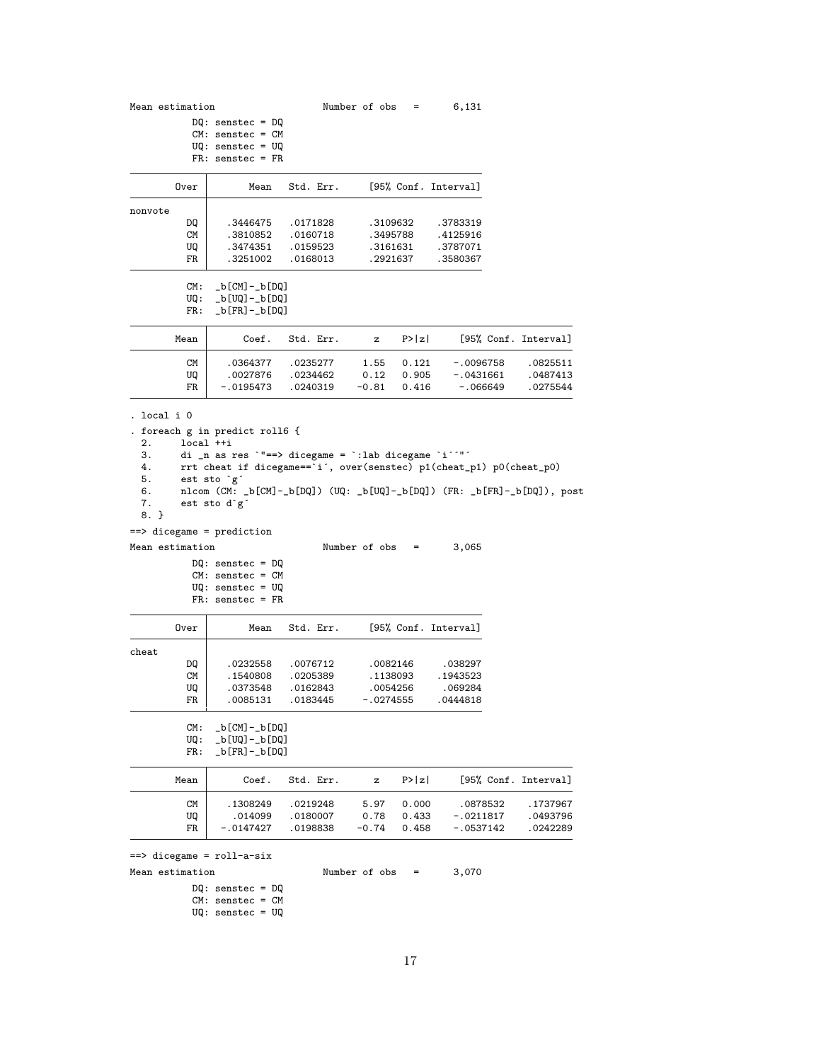|                                                            | Mean estimation                                                                                                                                                                                                                                                                     |                                              | Number of obs                                | Ξ                       | 6,131                                       |                                  |
|------------------------------------------------------------|-------------------------------------------------------------------------------------------------------------------------------------------------------------------------------------------------------------------------------------------------------------------------------------|----------------------------------------------|----------------------------------------------|-------------------------|---------------------------------------------|----------------------------------|
|                                                            | $DQ:$ senstec = $DQ$<br>$CM:$ senstec = $CM$<br>$UQ$ : senstec = $UQ$<br>$FR:$ senstec = $FR$                                                                                                                                                                                       |                                              |                                              |                         |                                             |                                  |
| Over                                                       | Mean                                                                                                                                                                                                                                                                                | Std. Err.                                    |                                              |                         | [95% Conf. Interval]                        |                                  |
| nonvote                                                    |                                                                                                                                                                                                                                                                                     |                                              |                                              |                         |                                             |                                  |
| DQ<br>CМ<br>UQ                                             | .3446475<br>.3810852<br>.3474351                                                                                                                                                                                                                                                    | .0171828<br>.0160718<br>.0159523             | .3109632<br>.3495788<br>.3161631             |                         | .3783319<br>.4125916<br>.3787071            |                                  |
| FR<br>CM:<br>UQ :<br>FR:                                   | .3251002<br>_b[CM]-_b[DQ]<br>_b[UQ]-_b[DQ]<br>_b[FR]-_b[DQ]                                                                                                                                                                                                                         | .0168013                                     | . 2921637                                    |                         | .3580367                                    |                                  |
| Mean                                                       | Coef.                                                                                                                                                                                                                                                                               | Std. Err.                                    | z                                            | P >  z                  |                                             | [95% Conf. Interval]             |
| CM<br>UQ<br>FR                                             | .0364377<br>.0027876<br>$-.0195473$                                                                                                                                                                                                                                                 | .0235277<br>.0234462<br>.0240319             | 1.55<br>0.12<br>$-0.81$                      | 0.121<br>0.905<br>0.416 | $-.0096758$<br>$-.0431661$<br>$-.066649$    | .0825511<br>.0487413<br>.0275544 |
| . local i O<br>2.<br>З.<br>4.<br>5.<br>6.<br>7.<br>$8. \}$ | . foreach g in predict roll6 {<br>local ++i<br>di _n as res `"==> dicegame = `:lab dicegame `i''"'<br>rrt cheat if dicegame=='i', over(senstec) p1(cheat_p1) p0(cheat_p0)<br>est sto `g´<br>nlcom (CM: _b[CM]-_b[DQ]) (UQ: _b[UQ]-_b[DQ]) (FR: _b[FR]-_b[DQ]), post<br>est sto d`g´ |                                              |                                              |                         |                                             |                                  |
| $==$ > dicegame = prediction                               |                                                                                                                                                                                                                                                                                     |                                              |                                              |                         |                                             |                                  |
| Mean estimation                                            | $DQ:$ senstec = $DQ$<br>$CM:$ senstec = $CM$<br>$UQ$ : senstec = $UQ$<br>$FR:$ senstec = $FR$                                                                                                                                                                                       |                                              | Number of $obs =$                            |                         | 3,065                                       |                                  |
| Over                                                       | Mean                                                                                                                                                                                                                                                                                | Std. Err.                                    |                                              |                         |                                             |                                  |
|                                                            |                                                                                                                                                                                                                                                                                     |                                              |                                              |                         | [95% Conf. Interval]                        |                                  |
| cheat<br>DQ<br>CМ<br>UQ<br>FR<br>CM:                       | .0232558<br>.1540808<br>.0373548<br>.0085131<br>_b[CM]-_b[DQ]                                                                                                                                                                                                                       | .0076712<br>.0205389<br>.0162843<br>.0183445 | .0082146<br>.1138093<br>.0054256<br>.0274555 |                         | .038297<br>. 1943523<br>.069284<br>.0444818 |                                  |
| UQ:<br>FR:                                                 | _b[UQ]-_b[DQ]<br>_b[FR]-_b[DQ]                                                                                                                                                                                                                                                      |                                              |                                              |                         |                                             |                                  |
| Mean                                                       | Coef.                                                                                                                                                                                                                                                                               | Std. Err.                                    | z                                            | P >  z                  |                                             | [95% Conf. Interval]             |
| CМ<br>UQ<br>FR                                             | .1308249<br>.014099<br>-.0147427                                                                                                                                                                                                                                                    | .0219248<br>.0180007<br>.0198838             | 5.97<br>0.78<br>$-0.74$                      | 0.000<br>0.433<br>0.458 | .0878532<br>$-.0211817$<br>$-.0537142$      | .1737967<br>.0493796<br>.0242289 |

```
17
```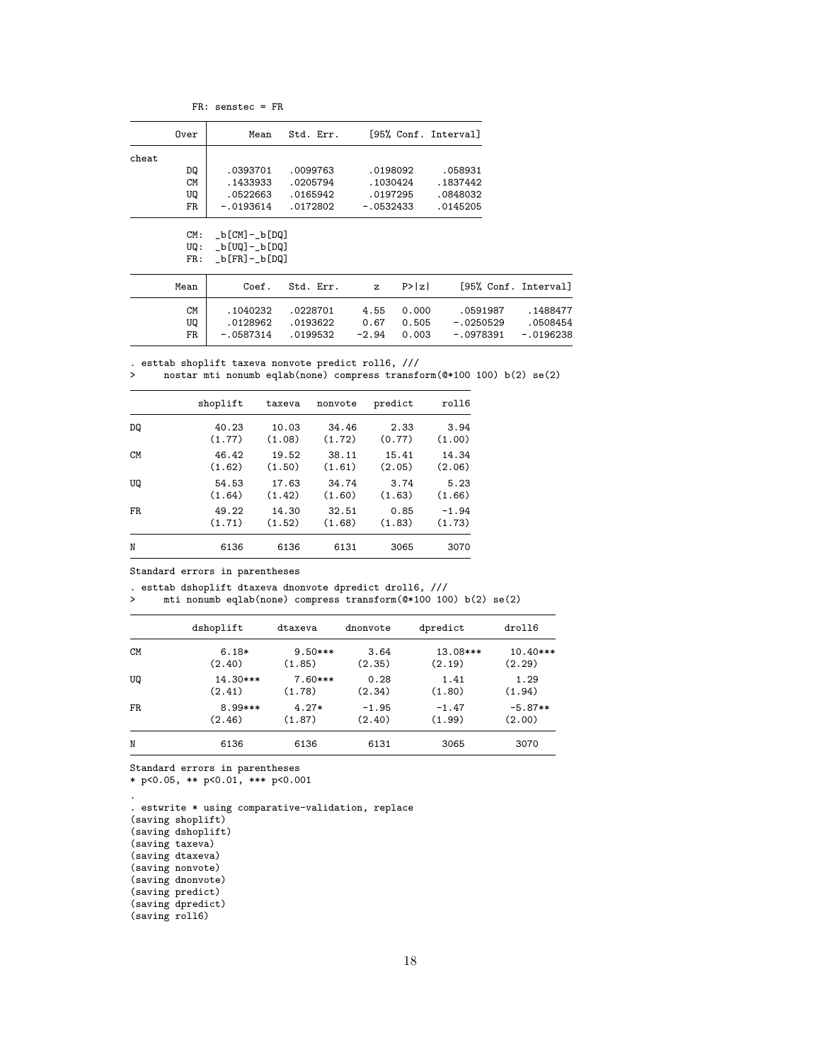FR: senstec = FR

|                 | Over        | Mean                           | Std. Err. |              |        | [95% Conf. Interval] |                      |
|-----------------|-------------|--------------------------------|-----------|--------------|--------|----------------------|----------------------|
| $_{\rm{cheat}}$ |             |                                |           |              |        |                      |                      |
|                 | DQ          | .0393701                       | .0099763  | .0198092     |        | .058931              |                      |
|                 | CМ          | . 1433933                      | .0205794  | .1030424     |        | . 1837442            |                      |
|                 | UQ          | .0522663                       | .0165942  | .0197295     |        | .0848032             |                      |
|                 | FR          | $-.0193614$                    | .0172802  | $-.0532433$  |        | .0145205             |                      |
|                 | CM:<br>UQ : | _b[CM]-_b[DQ]<br>_b[UQ]-_b[DQ] |           |              |        |                      |                      |
|                 | FR:         | _b[FR]-_b[DQ]                  |           |              |        |                      |                      |
|                 | Mean        | Coef.                          | Std. Err. | $\mathbf{z}$ | P >  z |                      | [95% Conf. Interval] |
|                 | <b>CM</b>   | .1040232                       | .0228701  | 4.55         | 0.000  | .0591987             | .1488477             |
|                 | UQ          | .0128962                       | .0193622  | 0.67         | 0.505  | $-.0250529$          | .0508454             |
|                 | FR          | - 0587314                      | 0199532   | $-294$       | 0.003  | - 0978391            | - 0196238            |

. esttab shoplift taxeva nonvote predict roll6, /// > nostar mti nonumb eqlab(none) compress transform(@\*100 100) b(2) se(2)

 $-0.0196238$ 

|           | shoplift | taxeva | nonvote | predict | roll6   |
|-----------|----------|--------|---------|---------|---------|
| DQ        | 40.23    | 10.03  | 34.46   | 2.33    | 3.94    |
|           | (1.77)   | (1.08) | (1.72)  | (0.77)  | (1.00)  |
| <b>CM</b> | 46.42    | 19.52  | 38.11   | 15.41   | 14.34   |
|           | (1.62)   | (1.50) | (1.61)  | (2.05)  | (2.06)  |
| UQ        | 54.53    | 17.63  | 34.74   | 3.74    | 5.23    |
|           | (1.64)   | (1.42) | (1.60)  | (1.63)  | (1.66)  |
| FR.       | 49.22    | 14.30  | 32.51   | 0.85    | $-1.94$ |
|           | (1.71)   | (1.52) | (1.68)  | (1.83)  | (1.73)  |
| N         | 6136     | 6136   | 6131    | 3065    | 3070    |

Standard errors in parentheses

. esttab dshoplift dtaxeva dnonvote dpredict droll6, ///<br>> mti nonumb eqlab(none) compress transform(@\*100 100

> mti nonumb eqlab(none) compress transform(@\*100 100) b(2) se(2)

|           | dshoplift | dtaxeva   | dnonvote | dpredict | droll6     |
|-----------|-----------|-----------|----------|----------|------------|
| <b>CM</b> | $6.18*$   | $9.50***$ | 3.64     | 13.08*** | $10.40***$ |
|           | (2.40)    | (1.85)    | (2.35)   | (2.19)   | (2.29)     |
| UQ        | 14.30***  | $7.60***$ | 0.28     | 1.41     | 1.29       |
|           | (2.41)    | (1.78)    | (2.34)   | (1.80)   | (1.94)     |
| FR.       | 8.99***   | $4.27*$   | $-1.95$  | $-1.47$  | $-5.87**$  |
|           | (2.46)    | (1.87)    | (2.40)   | (1.99)   | (2.00)     |
| N         | 6136      | 6136      | 6131     | 3065     | 3070       |

Standard errors in parentheses

\* p<0.05, \*\* p<0.01, \*\*\* p<0.001

. . estwrite \* using comparative-validation, replace (saving shoplift) (saving dshoplift) (saving taxeva) (saving dtaxeva) (saving nonvote) (saving dnonvote) (saving predict) (saving dpredict) (saving roll6)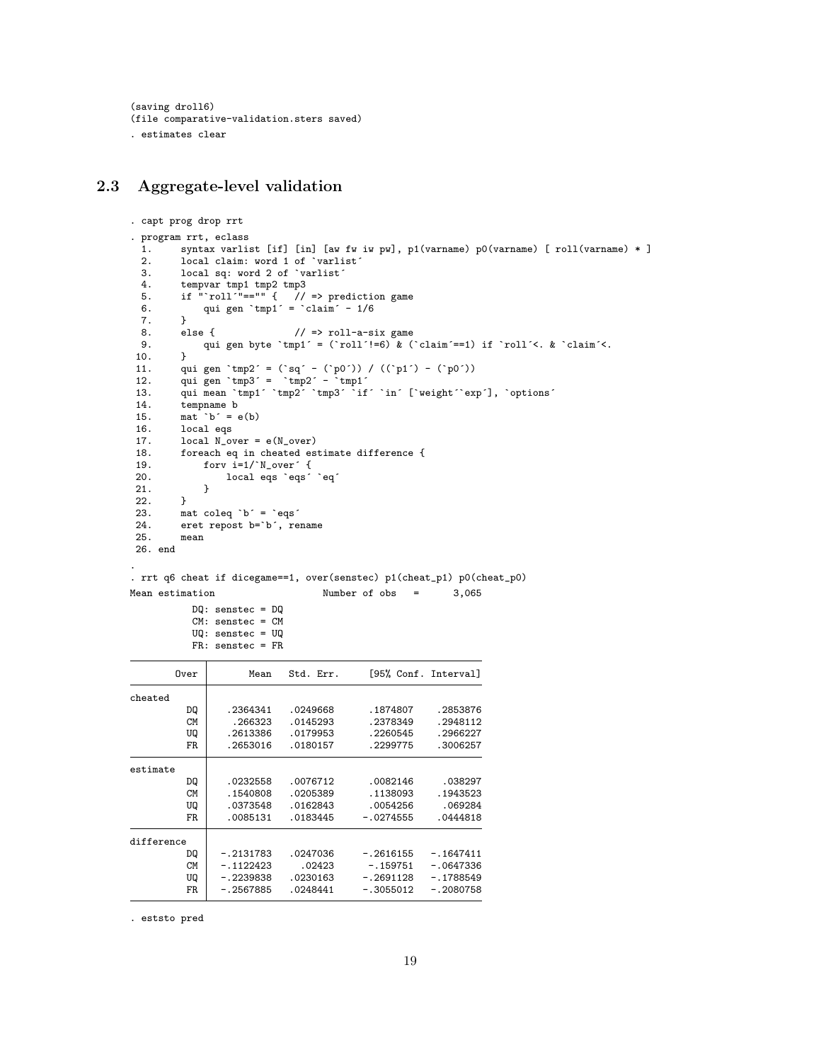```
(saving droll6)
(file comparative-validation.sters saved)
. estimates clear
```
## <span id="page-18-0"></span>2.3 Aggregate-level validation

```
. capt prog drop rrt
. program rrt, eclass
 1. syntax varlist [if] [in] [aw fw iw pw], p1(varname) p0(varname) [ roll(varname) * ]
 2. local claim: word 1 of `varlist'<br>3. local sq: word 2 of `varlist'
          local sq: word 2 of `varlist´
  4. tempvar tmp1 tmp2 tmp3
  5. if "`roll´"=="" { // => prediction game
  6. qui gen `tmp1´ = `claim´ - 1/6
 7. }<br>8. else {
 8. else { // \Rightarrow roll-a-six game<br>9. aui gen byte 'tmp1' = ('roll'!=6) & ('
          qui gen byte `tmp1´ = (`roll´!=6) & (`claim´==1) if `roll´<. & `claim´<. }
\frac{10}{11}.
 11. qui gen `tmp2´ = (`sq´ - (`p0´)) / ((`p1´) - (`p0´))
 12. qui gen tmp3' = 'tmp2' - 'tmp1'13. qui mean `tmp1´ `tmp2´ `tmp3´ `if´ `in´ [`weight´`exp´], `options´
14. tempname b
15. mat b^{\prime} = e(b)<br>16. local eqs
          local eqs
17. local N_{over} = e(N_{over})<br>18. foreach eq in cheated es
18. foreach eq in cheated estimate difference {<br>19. forv i=1<sup>'</sup>N_over' {
19. for i=1/`N_over´ {<br>20. local eqs `eqs´
               local eqs `eqs' `eq´<br>}
21. 22. }
\frac{22}{23}.
23. mat coleq \check{b} = \check{e} eqs<sup>2</sup><br>24. eret repost b=\check{b}. re
24. eret repost b=`b´, rename<br>25. mean
          \_26. end
.
```
. rrt q6 cheat if dicegame==1, over(senstec) p1(cheat\_p1) p0(cheat\_p0) Mean estimation Number of obs = 3,065

```
DQ: senstec = DQ
CM: senstec = CM
UQ: senstec = UQ
FR: senstec = FR
```

| Over       | Mean        | Std. Err. | [95% Conf. Interval] |             |
|------------|-------------|-----------|----------------------|-------------|
| cheated    |             |           |                      |             |
| DQ         | .2364341    | .0249668  | .1874807             | .2853876    |
| CМ         | .266323     | .0145293  | . 2378349            | .2948112    |
| UQ         | .2613386    | .0179953  | .2260545             | .2966227    |
| FR.        | .2653016    | .0180157  | .2299775             | .3006257    |
| estimate   |             |           |                      |             |
| DQ         | .0232558    | .0076712  | .0082146             | .038297     |
| CМ         | .1540808    | .0205389  | .1138093             | .1943523    |
| UQ         | .0373548    | .0162843  | .0054256             | .069284     |
| FR.        | .0085131    | .0183445  | $-.0274555$          | .0444818    |
| difference |             |           |                      |             |
| DQ         | $-.2131783$ | .0247036  | $-.2616155$          | $-.1647411$ |
| CМ         | $-.1122423$ | .02423    | $-.159751$           | $-.0647336$ |
| UQ         | $-.2239838$ | .0230163  | $-.2691128$          | $-.1788549$ |
| FR.        | $-.2567885$ | .0248441  | $-.3055012$          | $-.2080758$ |

. eststo pred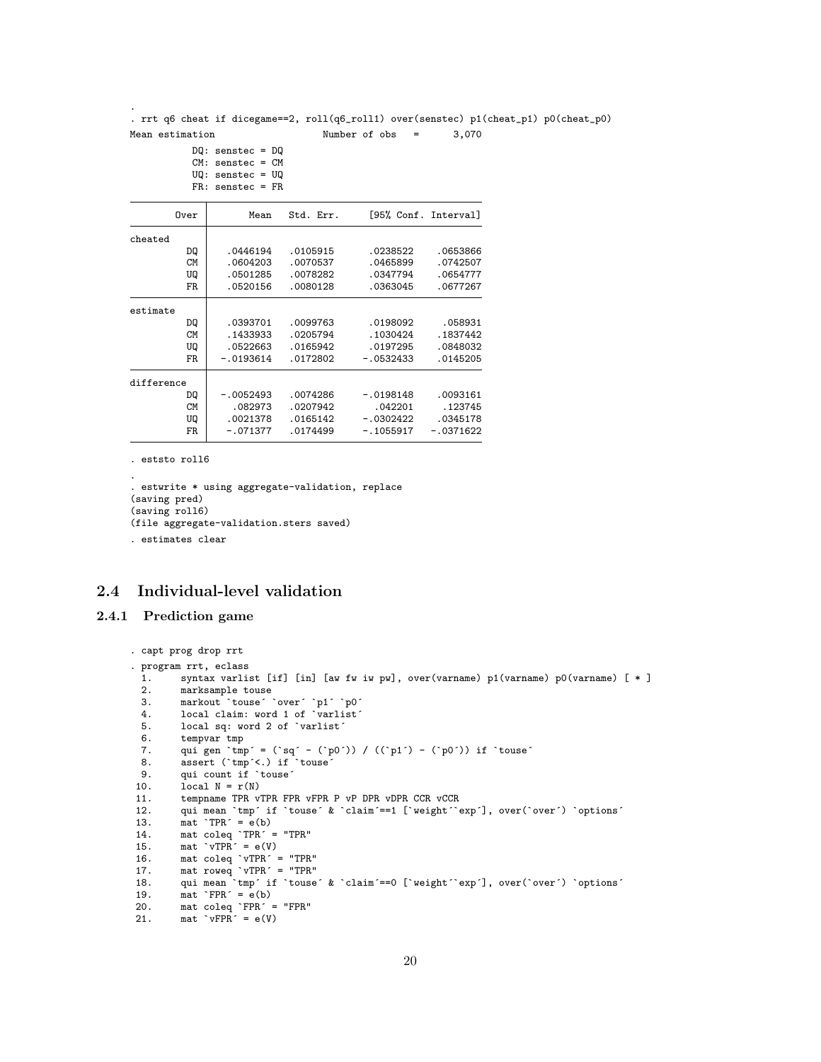. rrt q6 cheat if dicegame==2, roll(q6\_roll1) over(senstec) p1(cheat\_p1) p0(cheat\_p0) Mean estimation Mumber of obs = 3,070

```
DQ: senstec = DQ
CM: senstec = CM
```

```
UQ: senstec = UQ
```

|            | $FR:$ senstec = $FR$ |           |                      |             |
|------------|----------------------|-----------|----------------------|-------------|
| Over       | Mean                 | Std. Err. | [95% Conf. Interval] |             |
| cheated    |                      |           |                      |             |
| DQ         | .0446194             | .0105915  | .0238522             | .0653866    |
| CM         | .0604203             | .0070537  | .0465899             | .0742507    |
| UQ         | .0501285             | .0078282  | .0347794             | .0654777    |
| FR.        | .0520156             | .0080128  | .0363045             | .0677267    |
| estimate   |                      |           |                      |             |
| DQ         | .0393701             | .0099763  | .0198092             | .058931     |
| CM         | .1433933             | .0205794  | .1030424             | .1837442    |
| UQ         | .0522663             | .0165942  | .0197295             | .0848032    |
| FR.        | $-.0193614$          | .0172802  | $-.0532433$          | .0145205    |
| difference |                      |           |                      |             |
| DQ         | $-.0052493$          | .0074286  | $-.0198148$          | .0093161    |
| CМ         | .082973              | .0207942  | .042201              | .123745     |
| UQ         | .0021378             | .0165142  | $-.0302422$          | .0345178    |
| FR.        | $-.071377$           | .0174499  | $-.1055917$          | $-.0371622$ |

. eststo roll6

.

```
.
. estwrite * using aggregate-validation, replace
(saving pred)
(saving roll6)
(file aggregate-validation.sters saved)
```
. estimates clear

# <span id="page-19-0"></span>2.4 Individual-level validation

#### <span id="page-19-1"></span>2.4.1 Prediction game

```
. capt prog drop rrt
. program rrt, eclass
 1. syntax varlist [if] [in] [aw fw iw pw], over(varname) p1(varname) p0(varname) [ * ]
  2. marksample touse
  3. markout `touse´ `over´ `p1´ `p0´
  4. local claim: word 1 of `varlist´
 5. local sq: word 2 of `varlist´
 6. tempvar tmp<br>7. qui gen 'tmp
  7. qui gen `tmp´ = (`sq´ - (`p0´)) / ((`p1´) - (`p0´)) if `touse´
  8. assert (`tmp´<.) if `touse´
9. qui count if `touse'<br>10. local N = r(N)local N = r(N)11. tempname TPR vTPR FPR vFPR P vP DPR vDPR CCR vCCR<br>12. qui mean 'tmp' if 'touse' & 'claim'==1 ['weight''
12. qui mean `tmp´ if `touse´ & `claim´ ==1 [`weight´`exp´], over(`over´) `options´<br>13. mat `TPR´ = e(b)
 13. mat TPR^{\prime} = e(b)14. mat coleq `TPR´ = "TPR"
 15. mat vTPR^{\prime} = e(V)16. mat coleq `vTPR´ = "TPR"
 17. mat roweq `vTPR´ = "TPR"
 18. qui mean `tmp´ if `touse´ & `claim´==0 [`weight´`exp´], over(`over´) `options´
19. mat `FPR^{\prime} = e(b)<br>20. mat coleg `FPR^{\prime} =
 20. mat coleq `FPR´ = "FPR"
 21. mat VFPR^2 = e(V)
```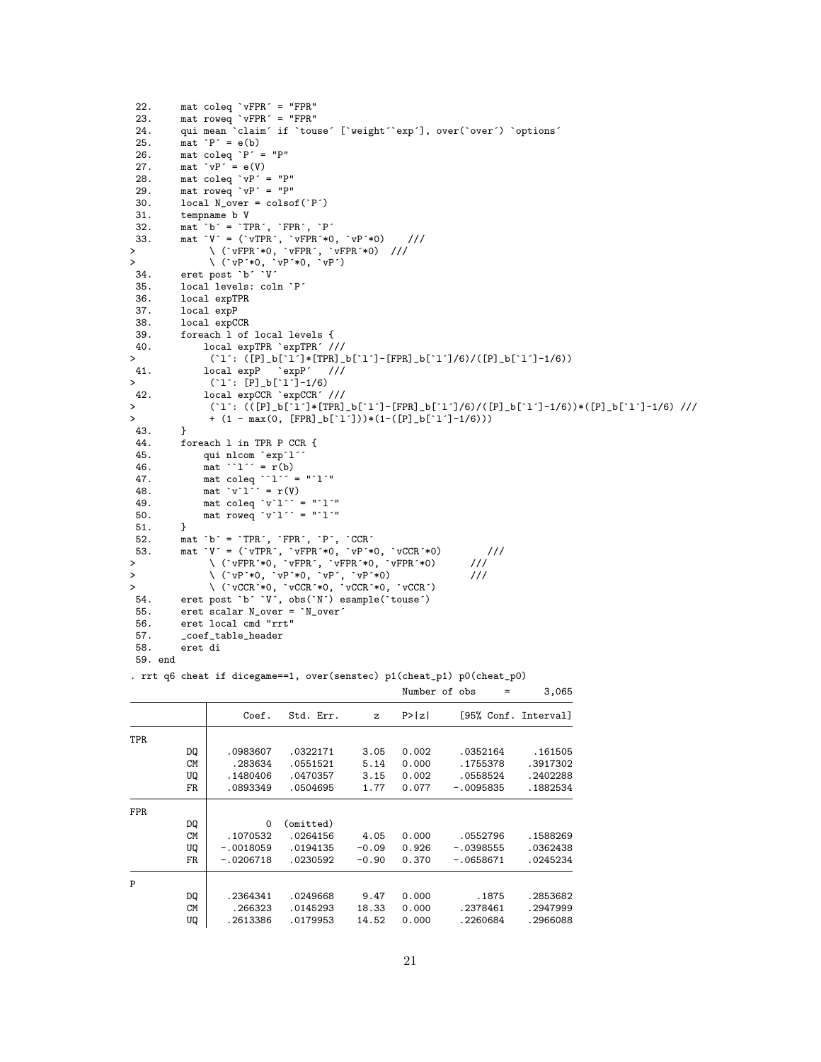```
22. mat coleq `vFPR´ = "FPR"
 23. mat roweq `vFPR´ = "FPR"
 24. qui mean claim´ if `touse´ [`weight´`exp´], over(`over´) `options´ 25. mat `P´ = e(b)
          \text{mat 'P' = e(b)}26. mat coleq P' = "P"<br>27. mat VP' = e(V)\text{mat 'vP' = e(V)}28. mat coleq `vP´ = "P"
 29. mat roweq `vP´ = "P"
 30. local N_{over} = \text{colsof}('P')31. tempname b V<br>32. mat b^{\prime} = T I32. mat `b´ = `TPR´, `FPR´, `P´
 33. mat `V´ = (`vTPR´, `vFPR´*0, `vP´*0) ///
> \ (`vFPR´*0, `vFPR´, `vFPR´*0) ///
> \ (`vP´*0, `vP´*0, `vP´)
 34. eret post `b´ `V´
 35. local levels: coln `P´
 36. local expTPR
 37. local expP<br>38. local expC
 38. local expCCR<br>39 foreach 1 of
 39. foreach 1 of local levels {<br>40. local expTPR 'expTPR' /
40. local \exp TPR \exp TPR' / //<br>> (1'. (P1 h[11*TPR] )> (`l´: ([P]_b[`l´]*[TPR]_b[`l´]-[FPR]_b[`l´]/6)/([P]_b[`l´]-1/6))
41. local \exp P \exp P'<br>> ('1': [P]_b['1'] - 1/2> (`l´: [P]_b[`l´]-1/6)<br>42.           local expCCR `expCCR´.
42. local expCCR `expCCR´ ///<br>> (`1´: (([P]_b[`1´]*[TPR]
> (`l´: (([P]_b[`l´]*[TPR]_b[`l´]-[FPR]_b[`l´]/6)/([P]_b[`l´]-1/6))*([P]_b[`l´]-1/6) ///
                + (1 - max(0, [FPR]_b['1']) * (1 - ([P]_b['1']-1/6)))43. }<br>44. fo
          foreach 1 in TPR P CCR {
 45. qui nlcom `exp`l´<br>46. mat ``l´´ = r(b)
 46. mat \text{at} \quad \text{at} \quad \text{at} \quad \text{at} \quad \text{at} \quad \text{at} \quad \text{at}<br>47. mat coleg \text{at} \quad \text{at} \quad \text{at}47. mat coleq 1' = "1''"
 48. mat \forall v \in \Gamma<sup>'</sup> = \mathbf{r}(V)49. mat coleq `v`l´´ = "`l´"
 50. mat roweq \forall<sup>'</sup>\forall<sup>'</sup> = "'\forall'"
 51. }
 52. mat `b´ = `TPR´, `FPR´, `P´, `CCR´
 53. mat `V´ = (`vTPR´, `vFPR´*0, `vP´*0, `vCCR´*0) ///
> \ (`vFPR´*0, `vFPR´, `vFPR´*0, `vFPR´*0) ///
> \ (`vP´*0, `vP´*0, `vP´, `vP´*0) ///
> \ (`vCCR´*0, `vCCR´*0, `vCCR´*0, `vCCR´)
 54. eret post `b´ `V´, obs(`N´) esample(`touse´)
 55. eret scalar N_over = `N_over´<br>56. eret local cmd "rrt"
 56. eret local cmd "rrt"
 57. _coef_table_header
          58. eret di
```
59. end

. rrt q6 cheat if dicegame==1, over(senstec) p1(cheat\_p1) p0(cheat\_p0)

| Number of obs |  |  |
|---------------|--|--|
|               |  |  |

3,065

|      |           | Coef.       | Std. Err. | z       | P >  z | [95% Conf. Interval] |          |
|------|-----------|-------------|-----------|---------|--------|----------------------|----------|
| TPR. |           |             |           |         |        |                      |          |
|      | DQ        | .0983607    | .0322171  | 3.05    | 0.002  | .0352164             | .161505  |
|      | <b>CM</b> | .283634     | .0551521  | 5.14    | 0.000  | .1755378             | .3917302 |
|      | UQ        | .1480406    | .0470357  | 3.15    | 0.002  | .0558524             | .2402288 |
|      | FR.       | .0893349    | .0504695  | 1.77    | 0.077  | $-.0095835$          | .1882534 |
| FPR. |           |             |           |         |        |                      |          |
|      | DQ        | $\Omega$    | (omitted) |         |        |                      |          |
|      | <b>CM</b> | .1070532    | .0264156  | 4.05    | 0.000  | .0552796             | .1588269 |
|      | UQ        | $-.0018059$ | .0194135  | $-0.09$ | 0.926  | $-.0398555$          | .0362438 |
|      | FR.       | $-.0206718$ | .0230592  | $-0.90$ | 0.370  | $-.0658671$          | .0245234 |
| P    |           |             |           |         |        |                      |          |
|      | DQ        | .2364341    | .0249668  | 9.47    | 0.000  | .1875                | .2853682 |
|      | <b>CM</b> | .266323     | .0145293  | 18.33   | 0.000  | .2378461             | .2947999 |
|      | UQ        | .2613386    | .0179953  | 14.52   | 0.000  | .2260684             | .2966088 |
|      |           |             |           |         |        |                      |          |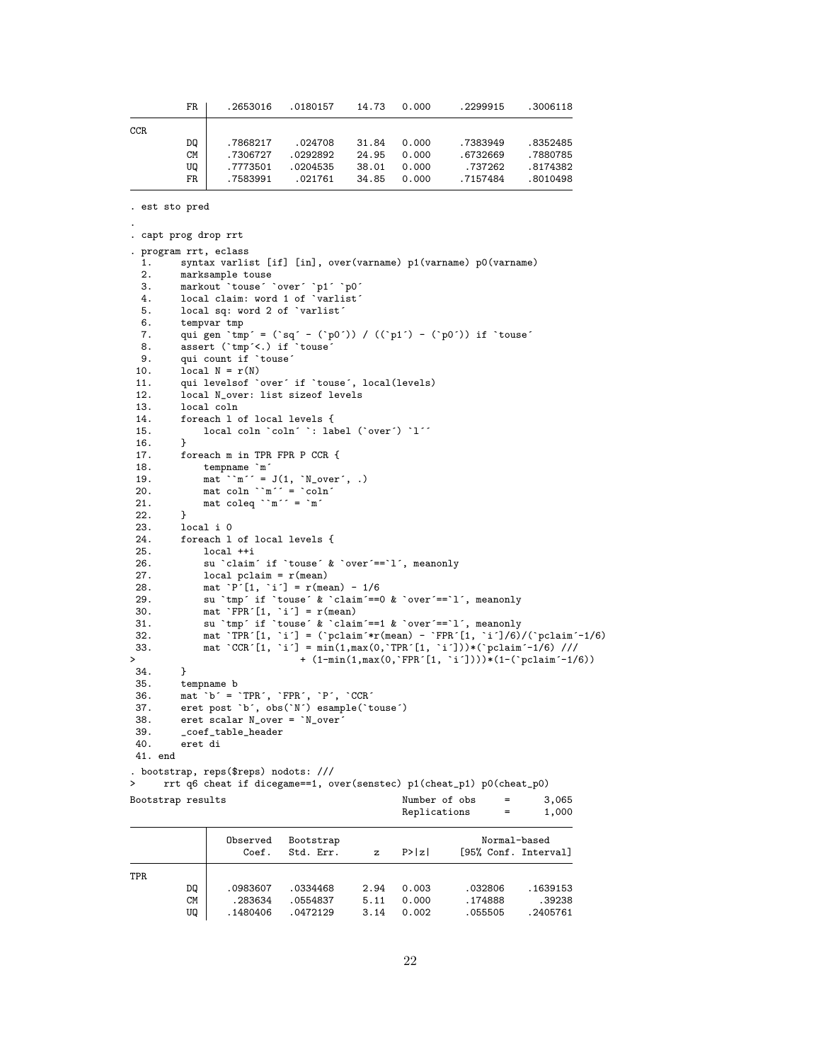|      | FR.       | .2653016 | .0180157 | 14.73 | 0.000 | .2299915 | .3006118 |
|------|-----------|----------|----------|-------|-------|----------|----------|
| CCR. |           |          |          |       |       |          |          |
|      | DQ        | .7868217 | .024708  | 31.84 | 0.000 | .7383949 | .8352485 |
|      | <b>CM</b> | .7306727 | .0292892 | 24.95 | 0.000 | .6732669 | .7880785 |
|      | UQ        | .7773501 | .0204535 | 38.01 | 0.000 | .737262  | .8174382 |
|      | FR        | .7583991 | .021761  | 34.85 | 0.000 | .7157484 | .8010498 |
|      |           |          |          |       |       |          |          |

. est sto pred

```
.
. capt prog drop rrt
. program rrt, eclass
 1. syntax varlist [if] [in], over(varname) p1(varname) p0(varname)
  2. marksample touse<br>3. markout 'touse'
          markout `touse´ `over´ `p1´ `p0´
  4. local claim: word 1 of `varlist'<br>5. local sq: word 2 of `varlist'
  5. local sq: word 2 of `varlist´<br>6. tempvar tmp
  6. tempvar tmp
  7. qui gen `tmp´ = (`sq´ - (`p0´)) / ((`p1´) - (`p0´)) if `touse´
  8. assert (`tmp´<.) if `touse´
  9. qui count if `touse´
 10. local N = r(N)<br>11. qui levels of \chi11. qui levelsof `over´ if `touse´, local(levels)
 12. local N_over: list sizeof levels
 13. local coln<br>14. foreach lo
          foreach 1 of local levels {
15. local coln \text{^} : label (\text{`over'}) \text{`l''}<br>16. }
16. }
17. foreach m in TPR FPR P CCR {<br>18. tempname `m´
 18. tempname `m´
 19. mat ``m´' = J(1, 'N_over', .)20. mat coln ``m´´ = `coln´<br>21. mat coleq ``m´´ = `m´
          mat coleq ``m´´ = `m´
 22.23.23. local i 0<br>24. foreach l
 24. foreach 1 of local levels {<br>25. local ++i
 25. local ++i<br>26. su `claim
               su `claim´ if `touse´ & `over´ ==`l´, meanonly
 27. local pclaim = r(mean)<br>28. mat `P´[1, `i´] = r(mean)
 28. mat \begin{array}{ll} \n\text{mat} \quad P' [1, \quad i'] = r(\text{mean}) - 1/6 \\
\text{29.} \quad \text{su } \text{'tmp'} \text{ if } \text{'touse'} \& \text{'claim'} == 0\n\end{array}29. su `tmp´ if `touse´ & `claim´==0 & `over´==`l´, meanonly<br>30. mat `FPR´[1, `i´] = r(mean)
 30. mat \begin{array}{ll} \n\text{mat } \text{FPR}^t[1, \text{ i}^*] = \text{r}(\text{mean}) \\
31. \n\text{su } \text{tmp}^t \text{ if } \text{touse}^t \& \text{clain}\n\end{array}31. su `tmp´ if `touse´ & `claim´==1 & `over´==`l´, meanonly
 32. mat `TPR^[1, `i^] = (`pclaim^*r(mean) - `FPR^[1, `i^]/6)/(`pclaim^-1/6)
 33. mat `CCR´[1, `i´] = min(1,max(0,`TPR´[1, `i´]))*(`pclaim´-1/6) ///
> + (1-min(1,max(0,`FPR´[1, `i´])))*(1-(`pclaim´-1/6))
34.35.tempname b
 36. mat `b´ = `TPR´, `FPR´, `P´, `CCR´
 37. eret post `b´, obs(`N´) esample(`touse´)
38. eret scalar N_over = `N_over´
 39. _coef_table_header
          40. eret di
41. end
. bootstrap, reps($reps) nodots: ///
> rrt q6 cheat if dicegame==1, over(senstec) p1(cheat_p1) p0(cheat_p0)
Bootstrap results \blacksquare Number of obs = 3,065
                                                          Replications = 1,000
```

|     |                 | Observed<br>Coef.   | Bootstrap<br>Std. Err. | z            | P >  z         |                    | Normal-based<br>[95% Conf. Interval] |
|-----|-----------------|---------------------|------------------------|--------------|----------------|--------------------|--------------------------------------|
| TPR |                 |                     |                        |              |                |                    |                                      |
|     | DQ              | .0983607            | .0334468               | 2.94         | 0.003          | .032806            | .1639153                             |
|     | <b>CM</b><br>UQ | .283634<br>.1480406 | .0554837<br>.0472129   | 5.11<br>3.14 | 0.000<br>0.002 | .174888<br>.055505 | .39238<br>.2405761                   |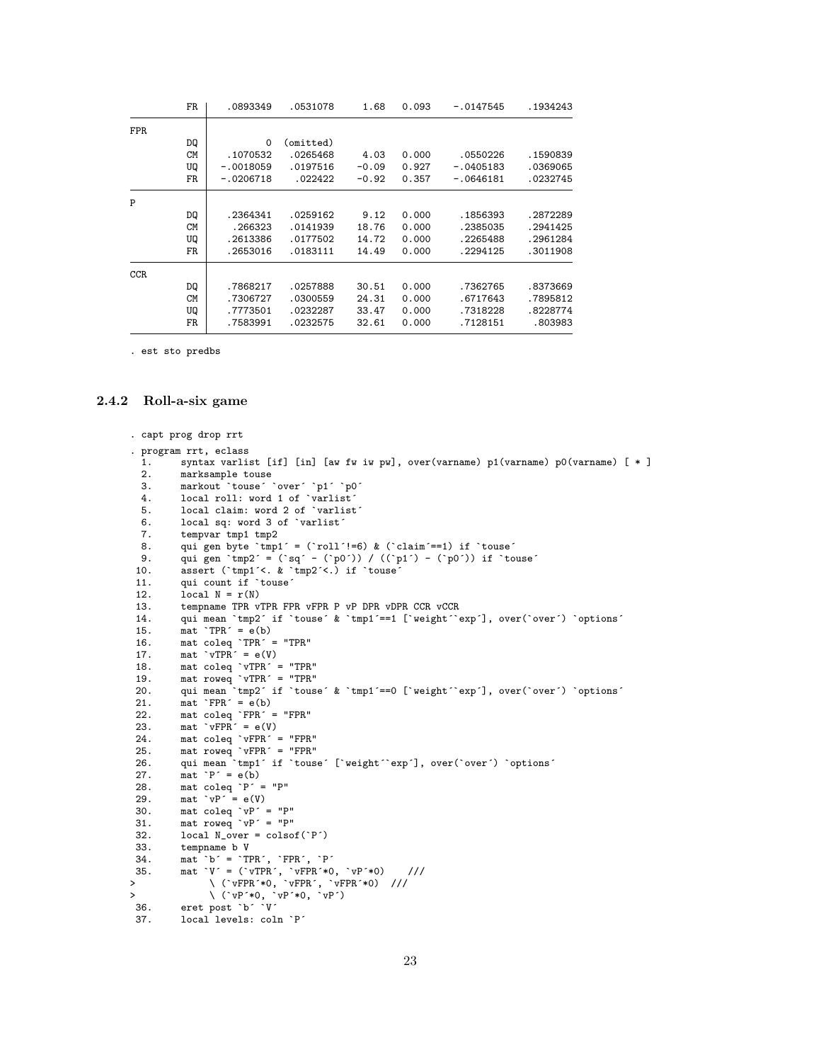|            | FR        | .0893349    | .0531078  | 1.68    | 0.093 | $-.0147545$ | .1934243 |
|------------|-----------|-------------|-----------|---------|-------|-------------|----------|
| <b>FPR</b> |           |             |           |         |       |             |          |
|            | DQ        | $\Omega$    | (omitted) |         |       |             |          |
|            | <b>CM</b> | .1070532    | .0265468  | 4.03    | 0.000 | .0550226    | .1590839 |
|            | UQ        | $-.0018059$ | .0197516  | $-0.09$ | 0.927 | $-.0405183$ | .0369065 |
|            | FR        | $-.0206718$ | .022422   | $-0.92$ | 0.357 | $-.0646181$ | .0232745 |
| P          |           |             |           |         |       |             |          |
|            | DQ        | .2364341    | .0259162  | 9.12    | 0.000 | .1856393    | .2872289 |
|            | <b>CM</b> | .266323     | .0141939  | 18.76   | 0.000 | .2385035    | .2941425 |
|            | UQ        | .2613386    | .0177502  | 14.72   | 0.000 | .2265488    | .2961284 |
|            | FR        | .2653016    | .0183111  | 14.49   | 0.000 | .2294125    | .3011908 |
| CCR        |           |             |           |         |       |             |          |
|            | DQ        | .7868217    | .0257888  | 30.51   | 0.000 | .7362765    | .8373669 |
|            | <b>CM</b> | .7306727    | .0300559  | 24.31   | 0.000 | .6717643    | .7895812 |
|            | UQ        | .7773501    | .0232287  | 33.47   | 0.000 | .7318228    | .8228774 |
|            | FR        | .7583991    | .0232575  | 32.61   | 0.000 | .7128151    | .803983  |

. est sto predbs

## <span id="page-22-0"></span>2.4.2 Roll-a-six game

```
. capt prog drop rrt
. program rrt, eclass<br>1. syntax varlig
  1. syntax varlist [if] [in] [aw fw iw pw], over(varname) p1(varname) p0(varname) [ * ] 2. marksample touse
  2. marksample touse<br>3. markout touse
          markout `touse´ `over´ `p1´ `p0´
  4. local roll: word 1 of `varlist<sup>5</sup><br>5. local claim: word 2 of `varlist
          local claim: word 2 of `varlist´
  6. local sq: word 3 of `varlist´
  7. tempvar tmp1 tmp2
 8. qui gen byte `tmp1´ = (`roll´!=6) & (`claim´==1) if `touse´<br>9. qui gen `tmp2´ = (`sq´ - (`p0´)) / ((`p1´) - (`p0´)) if `to
9. qui gen `tmp2´ = (`sq´ - (`p0´)) / ((`p1´) - (`p0´)) if `touse´
          assert (`tmp1´<. & `tmp2´<.) if `touse
 11. qui count if `touse´<br>12. \qquad local N = r(N)local N = r(N)13. tempname TPR vTPR FPR vFPR P vP DPR vDPR CCR vCCR 14. qui mean 'tmp2' if 'touse' & 'tmp1'==1 ['weight''e
          qui mean `tmp2´ if `touse´ & `tmp1´ == 1 [`weight´`exp´], over(`over´) `options´
15. mat TPR^{\prime} = e(b)16. mat coleq `TPR´ = "TPR"
 17. mat \text{vTPR}^{\prime} = e(V)18. mat coleq `vTPR´ = "TPR"
 19. mat roweq `vTPR´ = "TPR"
 20. qui mean \text{tmp2' if 'touse' } k \text{tmp1'==0 ['weight' 'exp'], over('over') 'options' m}<br>21. mat \text{FPR'} = e(b)21. mat FPR^2 = e(b)<br>22. mat coleg FPR^2 = e(b)22. mat coleq `FPR´ = "FPR"
 23. mat \text{vFPR}^{\prime} = e(V)24. mat coleq `vFPR´ = "FPR"
 25. mat roweq `vFPR´ = "FPR"
 26. qui mean `tmp1´ if `touse´ [`weight´`exp´], over(`over´) `options´
 27. mat P' = e(b)<br>28. mat coleg P' =mat coleq \overrightarrow{P} = "P"
29. mat vP' = e(V)<br>30. mat coleq vP'30. mat coleq `vP´ = "P"
 31. mat roweq `vP´ = "P"
32. local N_{over} = \text{colsof}('P')<br>33. temponame b Vtempname b V
34. mat b' = 'TPR', 'FPR', 'P'<br>35. mat V' = ('vTPR', 'vFPR'*035. mat `V´ = (`vTPR´, `vFPR´*0, `vP´*0) ///
> \ (`vFPR´*0, `vFPR´, `vFPR´*0) ///
> \ (`vP´*0, `vP´*0, `vP´)
 36. eret post `b´ `V´
37. local levels: coln `P´
```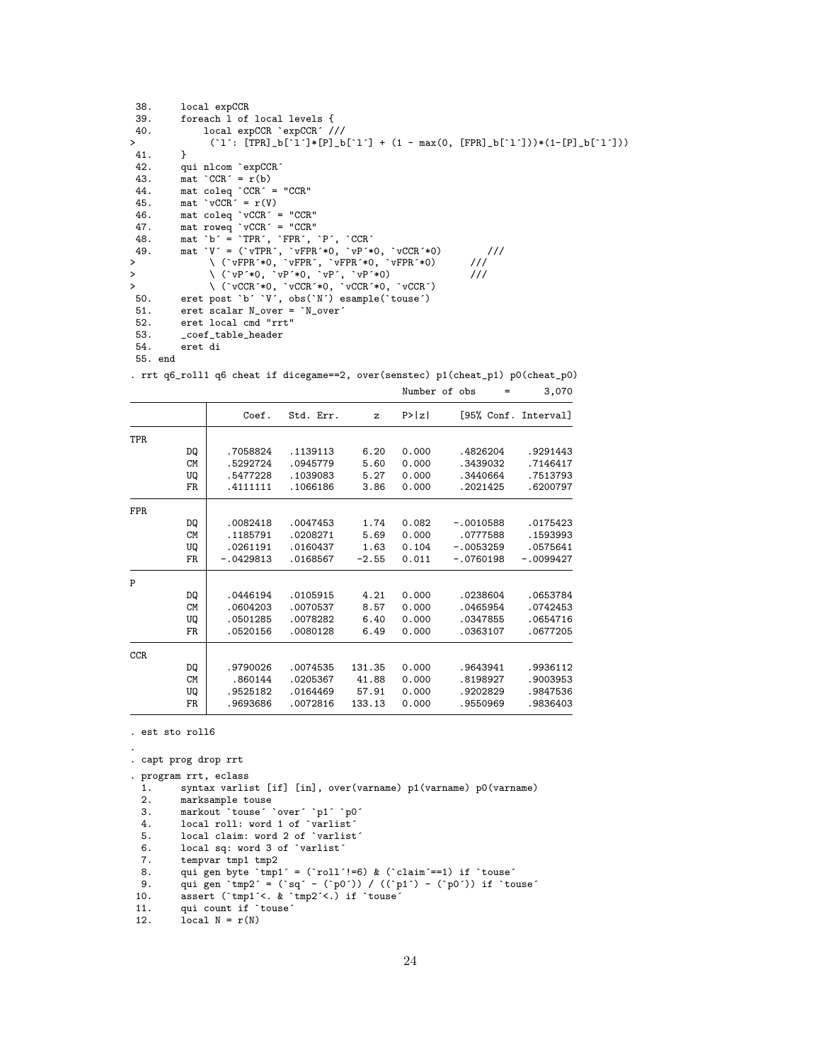| 38.    |         | local expCCR                                                                |
|--------|---------|-----------------------------------------------------------------------------|
| 39.    |         | foreach 1 of local levels {                                                 |
| 40.    |         | local expCCR 'expCCR' ///                                                   |
| $\geq$ |         | $('1': [TPR]_b['1']*[P]_b['1'] + (1 - max(0, [FPR]_b['1']))*(1-[P]_b['1'])$ |
| 41.    |         | Ł                                                                           |
| 42.    |         | qui nlcom `expCCR'                                                          |
| 43.    |         | $\text{mat } \text{CCR}^{\text{-}} = \text{r(b)}$                           |
| 44.    |         | mat coleq $CCR^{\prime}$ = "CCR"                                            |
| 45.    |         | $\text{mat } \text{vCCR}^{\text{-}} = \text{r(V)}$                          |
| 46.    |         | mat coleq $\sqrt{vCCR}$ = "CCR"                                             |
| 47.    |         | mat rowed $\vec{v}$ vCCR $\hat{i}$ = "CCR"                                  |
| 48.    |         | mat $b' = TPR', TPR', P', CCR'$                                             |
| 49.    |         | mat $V = (vTPR', vFPR'*0, vP'*0, vCCR'*0)$<br>$\frac{1}{1}$                 |
| $\geq$ |         | $\setminus$ (`vFPR'*0, `vFPR', `vFPR'*0, `vFPR'*0)<br>111                   |
| $\geq$ |         | 111<br>$\setminus$ ( $vP^*$ +0, $vP^*$ +0, $vP^*$ , $vP^*$ +0)              |
| $\geq$ |         | $\setminus$ ('vCCR'*0, 'vCCR'*0, 'vCCR'*0, 'vCCR')                          |
| 50.    |         | eret post `b' `V', obs(`N') esample(`touse')                                |
| 51.    |         | eret scalar N_over = `N_over'                                               |
| 52.    |         | eret local cmd "rrt"                                                        |
| 53.    |         | _coef_table_header                                                          |
| 54.    |         | eret di                                                                     |
|        | 55. end |                                                                             |

Number of  $obs$  = 3,070

|      |           | Coef.       | Std. Err. | z       | P >  z |             | [95% Conf. Interval] |
|------|-----------|-------------|-----------|---------|--------|-------------|----------------------|
| TPR  |           |             |           |         |        |             |                      |
|      | DQ        | .7058824    | .1139113  | 6.20    | 0.000  | .4826204    | .9291443             |
|      | <b>CM</b> | .5292724    | .0945779  | 5.60    | 0.000  | .3439032    | .7146417             |
|      | UQ        | .5477228    | .1039083  | 5.27    | 0.000  | .3440664    | .7513793             |
|      | FR.       | .4111111    | .1066186  | 3.86    | 0.000  | .2021425    | .6200797             |
| FPR. |           |             |           |         |        |             |                      |
|      | DQ        | .0082418    | .0047453  | 1.74    | 0.082  | $-.0010588$ | .0175423             |
|      | <b>CM</b> | .1185791    | .0208271  | 5.69    | 0.000  | .0777588    | .1593993             |
|      | UQ        | .0261191    | .0160437  | 1.63    | 0.104  | $-.0053259$ | .0575641             |
|      | FR        | $-.0429813$ | .0168567  | $-2.55$ | 0.011  | $-.0760198$ | $-.0099427$          |
| P    |           |             |           |         |        |             |                      |
|      | DQ        | .0446194    | .0105915  | 4.21    | 0.000  | .0238604    | .0653784             |
|      | <b>CM</b> | .0604203    | .0070537  | 8.57    | 0.000  | .0465954    | .0742453             |
|      | UQ        | .0501285    | .0078282  | 6.40    | 0.000  | .0347855    | .0654716             |
|      | FR.       | .0520156    | .0080128  | 6.49    | 0.000  | .0363107    | .0677205             |
| CCR. |           |             |           |         |        |             |                      |
|      | DQ        | .9790026    | .0074535  | 131.35  | 0.000  | .9643941    | .9936112             |
|      | <b>CM</b> | .860144     | .0205367  | 41.88   | 0.000  | .8198927    | .9003953             |
|      | UQ        | .9525182    | .0164469  | 57.91   | 0.000  | .9202829    | .9847536             |
|      | FR.       | .9693686    | .0072816  | 133.13  | 0.000  | .9550969    | .9836403             |

. rrt q6\_roll1 q6 cheat if dicegame==2, over(senstec) p1(cheat\_p1) p0(cheat\_p0)

. est sto roll6

```
.
```
. capt prog drop rrt

```
. program rrt, eclass
```

```
1. syntax varlist [if] [in], over(varname) p1(varname) p0(varname) 2. marksample touse
2. marksample touse
```
3. markout `touse´ `over´ `p1´ `p0´

4. local roll: word 1 of `varlist´

5. local claim: word 2 of `varlist´

- 6. local sq: word 3 of `varlist´
- 7. tempvar tmp1 tmp2
- 8. qui gen byte `tmp1´ = (`roll´!=6) & (`claim´==1) if `touse´
- 9. qui gen `tmp2´ = (`sq´ (`p0´)) / ((`p1´) (`p0´)) if `touse´
- 10. assert (`tmp1´<. & `tmp2´<.) if `touse´
- 11. qui count if `touse´
- 12.  $local N = r(N)$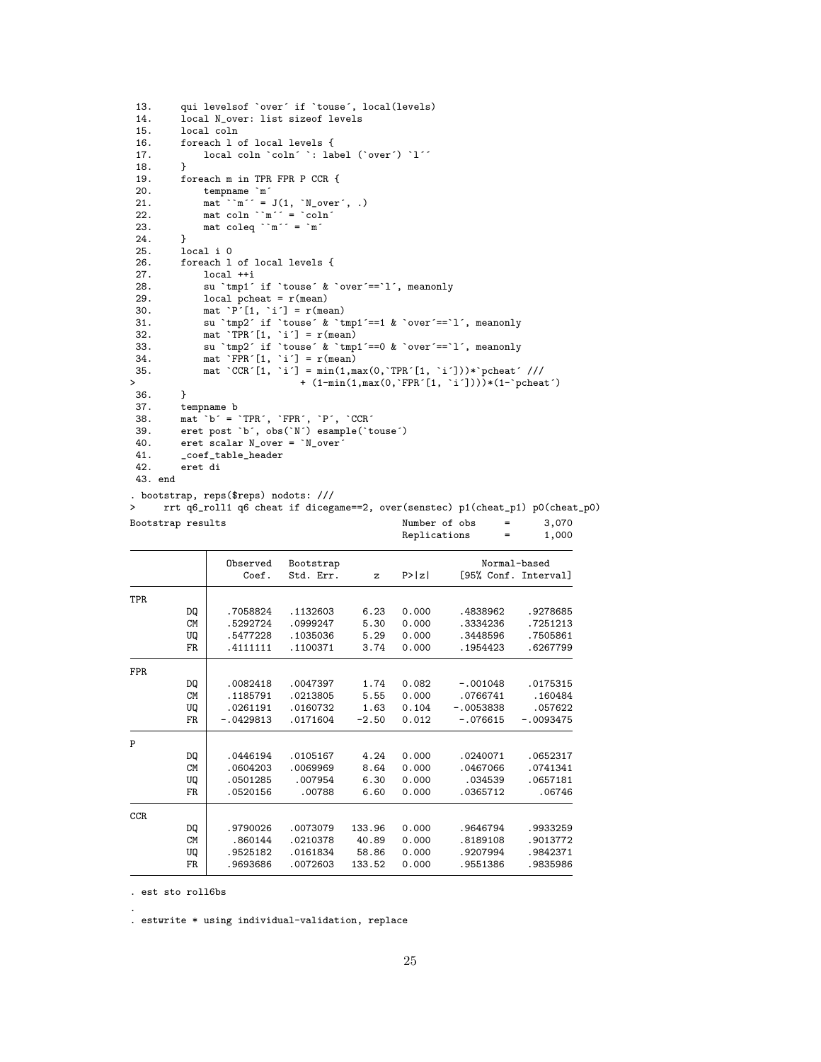```
13. qui levelsof `over´ if `touse´, local(levels)<br>14. local N_over: list sizeof levels
14. 1ocal N_over: list sizeof levels<br>15. local coln
15. local coln<br>16. foreach 1 o
          foreach 1 of local levels {
17. local coln `coln´ `: label (`over´) `l´´
\begin{array}{cc} 18. & \frac{1}{2} \\ 19. & \text{f} \end{array}19. foreach m in TPR FPR P CCR {<br>20. tempname `m'
 20. tempname `m´
 21. mat ``m´´ = J(1, 'N_over', .)22. mat coln \text{m}'' = \text{coln}23. mat coleq ``m´´ = `m´
24. }<br>25. lo
 25. local i 0<br>26. foreach l
         foreach 1 of local levels {
27. local ++i<br>28. su `tmp1'
28. su `tmp1´ if `touse´ & `over´ ==`l´, meanonly<br>29. local pcheat = r(mean)
 29. local pcheat = r(mean)<br>30. mat `P´[1, `i´] = r(mean)
30. mat P'[1, i'] = r(\text{mean})<br>31. su \text{tmp2}' if \text{course}' & t
31. su `tmp2´ if `touse´ & `tmp1´==1 & `over´==`l´, meanonly<br>32. mat. `TPR´ [1, `i´] = r(mean)
 32. mat `TPR´[1, `i´] = r(mean)
 33. su `tmp2´ if `touse´ & `tmp1´==0 & `over´==`l´, meanonly
 34. mat `FPR´[1, `i´] = r(mean)
 35. mat `CCR´[1, `i´] = min(1,max(0,`TPR´[1, `i´]))*`pcheat´ ///
> + (1-min(1,max(0,`FPR´[1, `i´])))*(1-`pcheat´)<br>36. }
36.<br>37.
37. tempname b<br>38. mat b^{\prime} =38. mat `b´ = `TPR´, `FPR´, `P´, `CCR´
 39. eret post `b´, obs(`N´) esample(`touse´)
 40. eret scalar N_over = `N_over´
41. _coef_table_header<br>42. eret di
         42. eret di
43. end
. bootstrap, reps($reps) nodots: ///
> rrt q6_roll1 q6 cheat if dicegame==2, over(senstec) p1(cheat_p1) p0(cheat_p0)
```

| Bootstrap results |           |             |           |         | Replications | Number of obs<br>$=$<br>= | 3,070<br>1,000       |
|-------------------|-----------|-------------|-----------|---------|--------------|---------------------------|----------------------|
|                   |           | Observed    | Bootstrap |         |              |                           | Normal-based         |
|                   |           | Coef.       | Std. Err. | z       | P >  z       |                           | [95% Conf. Interval] |
| TPR               |           |             |           |         |              |                           |                      |
|                   | DQ        | .7058824    | .1132603  | 6.23    | 0.000        | .4838962                  | .9278685             |
|                   | <b>CM</b> | .5292724    | .0999247  | 5.30    | 0.000        | .3334236                  | .7251213             |
|                   | UQ        | .5477228    | .1035036  | 5.29    | 0.000        | .3448596                  | .7505861             |
|                   | FR        | .4111111    | .1100371  | 3.74    | 0.000        | .1954423                  | .6267799             |
| <b>FPR</b>        |           |             |           |         |              |                           |                      |
|                   | DQ        | .0082418    | .0047397  | 1.74    | 0.082        | $-.001048$                | .0175315             |
|                   | <b>CM</b> | .1185791    | .0213805  | 5.55    | 0.000        | .0766741                  | .160484              |
|                   | UQ        | .0261191    | .0160732  | 1.63    | 0.104        | $-.0053838$               | .057622              |
|                   | FR        | $-.0429813$ | .0171604  | $-2.50$ | 0.012        | $-.076615$                | $-.0093475$          |
| P                 |           |             |           |         |              |                           |                      |
|                   | DQ        | .0446194    | .0105167  | 4.24    | 0.000        | .0240071                  | .0652317             |
|                   | <b>CM</b> | .0604203    | .0069969  | 8.64    | 0.000        | .0467066                  | .0741341             |
|                   | UQ        | .0501285    | .007954   | 6.30    | 0.000        | .034539                   | .0657181             |
|                   | FR        | .0520156    | .00788    | 6.60    | 0.000        | .0365712                  | .06746               |
| CCR               |           |             |           |         |              |                           |                      |
|                   | DQ        | .9790026    | .0073079  | 133.96  | 0.000        | .9646794                  | .9933259             |
|                   | <b>CM</b> | .860144     | .0210378  | 40.89   | 0.000        | .8189108                  | .9013772             |
|                   | UQ        | .9525182    | .0161834  | 58.86   | 0.000        | .9207994                  | .9842371             |
|                   | <b>FR</b> | .9693686    | .0072603  | 133.52  | 0.000        | .9551386                  | .9835986             |
|                   |           |             |           |         |              |                           |                      |

. est sto roll6bs

.

. estwrite \* using individual-validation, replace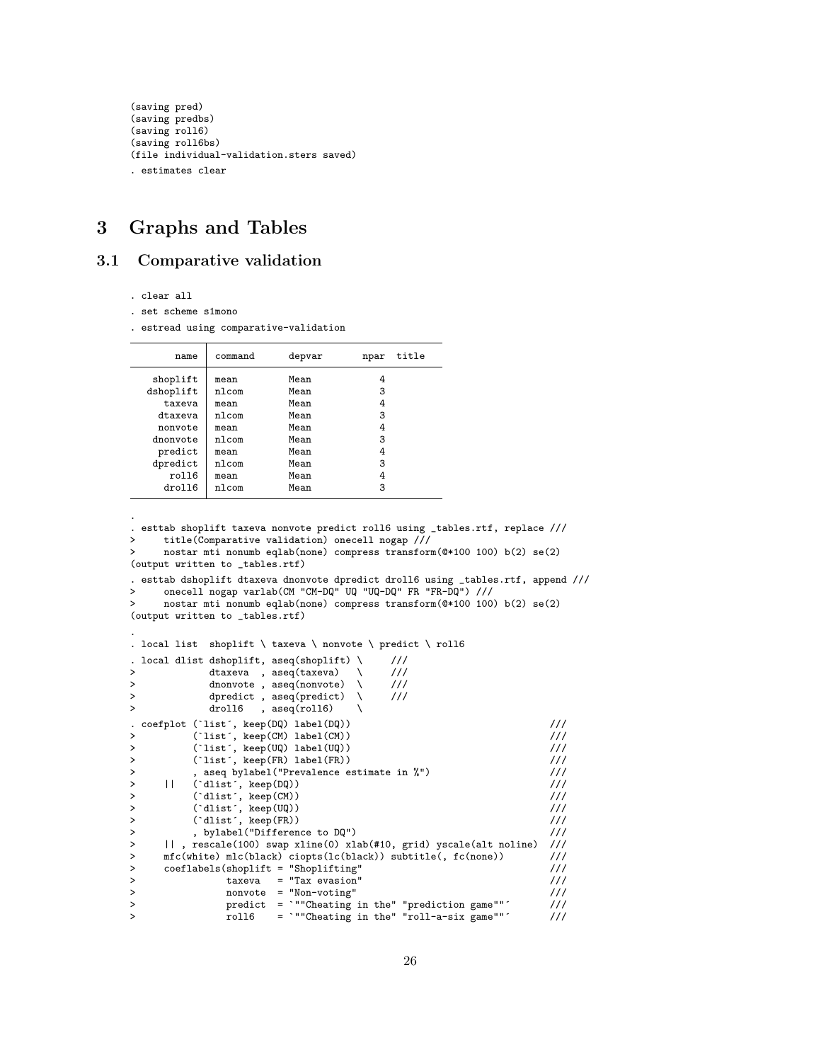```
(saving pred)
(saving predbs)
(saving roll6)
(saving roll6bs)
(file individual-validation.sters saved)
. estimates clear
```
# <span id="page-25-0"></span>3 Graphs and Tables

# <span id="page-25-1"></span>3.1 Comparative validation

. clear all

.

. set scheme s1mono

. estread using comparative-validation

| name                                                                                              | command                                                                  | depvar                                                               | npar                                      | title |
|---------------------------------------------------------------------------------------------------|--------------------------------------------------------------------------|----------------------------------------------------------------------|-------------------------------------------|-------|
| shoplift<br>dshoplift<br>taxeva<br>dtaxeva<br>nonvote<br>dnonvote<br>predict<br>dpredict<br>roll6 | mean<br>nlcom<br>mean<br>nlcom<br>mean<br>nlcom<br>mean<br>nlcom<br>mean | Mean<br>Mean<br>Mean<br>Mean<br>Mean<br>Mean<br>Mean<br>Mean<br>Mean | 4<br>3<br>4<br>3<br>4<br>3<br>4<br>3<br>4 |       |
| droll6                                                                                            | nlcom                                                                    | Mean                                                                 | 3                                         |       |

```
. esttab shoplift taxeva nonvote predict roll6 using _tables.rtf, replace ///
> title(Comparative validation) onecell nogap ///
    > nostar mti nonumb eqlab(none) compress transform(@*100 100) b(2) se(2)
(output written to _tables.rtf)
. esttab dshoplift dtaxeva dnonvote dpredict droll6 using _tables.rtf, append ///
> onecell nogap varlab(CM "CM-DQ" UQ "UQ-DQ" FR "FR-DQ") ///
> nostar mti nonumb eqlab(none) compress transform(@*100 100) b(2) se(2)
(output written to _tables.rtf)
.
. local list shoplift \ taxeva \ nonvote \ predict \ roll6
. local dlist dshoplift, aseq(shoplift) \qquad ///
> dtaxeva , aseq(taxeva) \ ///
> dnonvote , aseq(nonvote) \ ///
> dpredict , aseq(predict) \ ///<br>> droll6 , aseq(roll6) \
          droll6 , aseq(roll6) \setminus. coefplot (`list´, keep(DQ) label(DQ)) ///<br>> (`list´, keep(CM) label(CM)) ////
> (`list´, keep(CM) label(CM)) ///
> (`list´, keep(UQ) label(UQ)) ///
> (`list´, keep(FR) label(FR)) ///
> , aseq bylabel("Prevalence estimate in %") ///
> || (`dlist´, keep(DQ)) ///
> (`dlist´, keep(CM)) ///<br>> (`dlist´, keep(UQ)) ////
> (`dlist´, keep(UQ)) ///
> (`dlist´, keep(FR)) ///
> , bylabel("Difference to DQ") ///
> || , rescale(100) swap xline(0) xlab(#10, grid) yscale(alt noline) ///
> mfc(white) mlc(black) ciopts(lc(black)) subtitle(, fc(none)) ///
    > coeflabels(shoplift = "Shoplifting" ///
> taxeva = "Tax evasion" ///<br>
> nonvote = "Non-voting" /// ///
> nonvote = "Non-voting" ///<br>> predict = `""Cheating in the" "prediction game"" ///
             predict = `""Cheating in the" "prediction game"" ///
> roll6 = `""Cheating in the" "roll-a-six game"" ///
```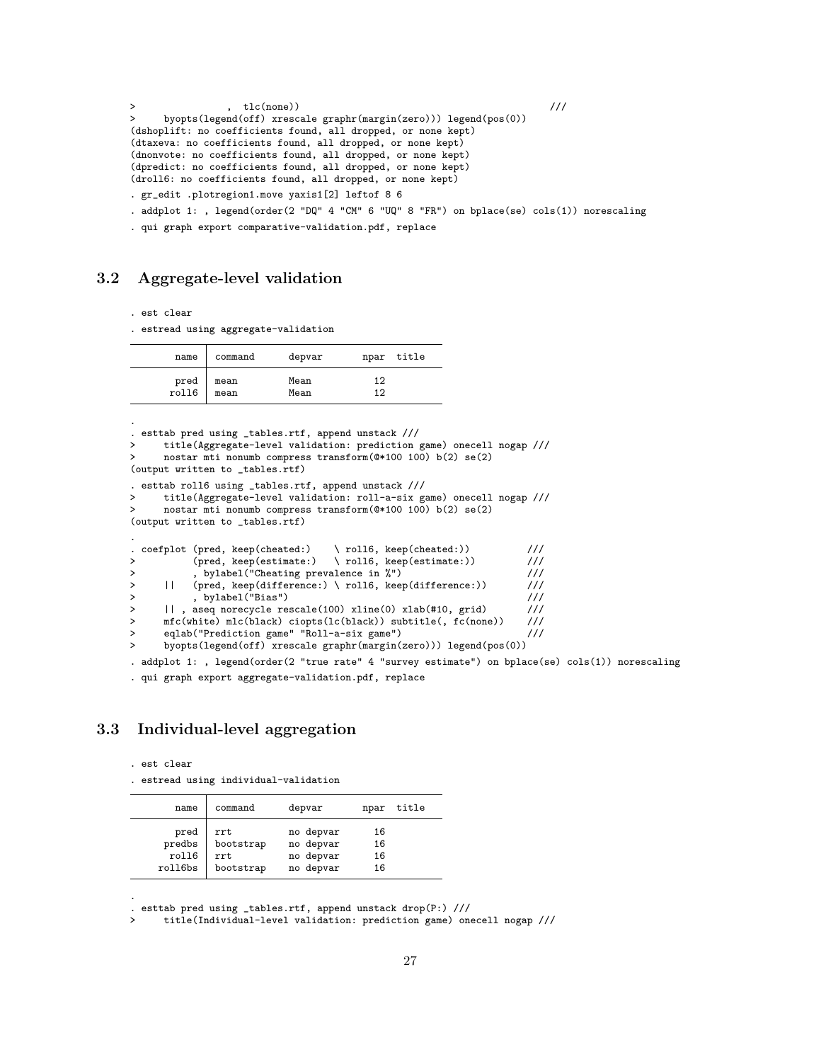```
> , tlc(none)) (//<br>
> hyonts(legand(off) yrascale graphr(margin(zero))) legand(pos(0))
      > byopts(legend(off) xrescale graphr(margin(zero))) legend(pos(0))
(dshoplift: no coefficients found, all dropped, or none kept)
(dtaxeva: no coefficients found, all dropped, or none kept)
(dnonvote: no coefficients found, all dropped, or none kept)
(dpredict: no coefficients found, all dropped, or none kept)
(droll6: no coefficients found, all dropped, or none kept)
. gr_edit .plotregion1.move yaxis1[2] leftof 8 6
. addplot 1: , legend(order(2 "DQ" 4 "CM" 6 "UQ" 8 "FR") on bplace(se) cols(1)) norescaling
```
. qui graph export comparative-validation.pdf, replace

## <span id="page-26-0"></span>3.2 Aggregate-level validation

. est clear

. estread using aggregate-validation

| name          | command      | depvar       | npar title |  |
|---------------|--------------|--------------|------------|--|
| pred<br>roll6 | mean<br>mean | Mean<br>Mean | 12<br>1 2  |  |

. . esttab pred using \_tables.rtf, append unstack /// > title(Aggregate-level validation: prediction game) onecell nogap /// > nostar mti nonumb compress transform(@\*100 100) b(2) se(2) (output written to \_tables.rtf) . esttab roll6 using \_tables.rtf, append unstack /// > title(Aggregate-level validation: roll-a-six game) onecell nogap /// > nostar mti nonumb compress transform(@\*100 100) b(2) se(2) (output written to \_tables.rtf) . . coefplot (pred, keep(cheated:) \ roll6, keep(cheated:)) /// > (pred, keep(estimate:) \ roll6, keep(estimate:) ) ///<br>> . bylabel("Cheating prevalence in %") /// > , bylabel("Cheating prevalence in %") /// > || (pred, keep(difference:) \ roll6, keep(difference:)) /// > , bylabel("Bias") /// ||, aseq norecycle rescale(100) xline(0) xlab(#10, grid) ///<br>mfc(white) mlc(black) ciopts(lc(black)) subtitle(, fc(none)) /// > mfc(white) mlc(black) ciopts(lc(black)) subtitle(, fc(none)) ///<br>> eqlab("Prediction game" "Roll-a-six game") /// eqlab("Prediction game" "Roll-a-six game") > byopts(legend(off) xrescale graphr(margin(zero))) legend(pos(0)) . addplot 1: , legend(order(2 "true rate" 4 "survey estimate") on bplace(se) cols(1)) norescaling

. qui graph export aggregate-validation.pdf, replace

# <span id="page-26-1"></span>3.3 Individual-level aggregation

. est clear

.

. estread using individual-validation

| name    | command   | depvar    | npar | title |
|---------|-----------|-----------|------|-------|
| pred    | rrt       | no depvar | 16   |       |
| predbs  | bootstrap | no depvar | 16   |       |
| roll6   | rrt       | no depvar | 16   |       |
| roll6bs | bootstrap | no depvar | 16   |       |

. esttab pred using \_tables.rtf, append unstack drop(P:) ///

> title(Individual-level validation: prediction game) onecell nogap ///